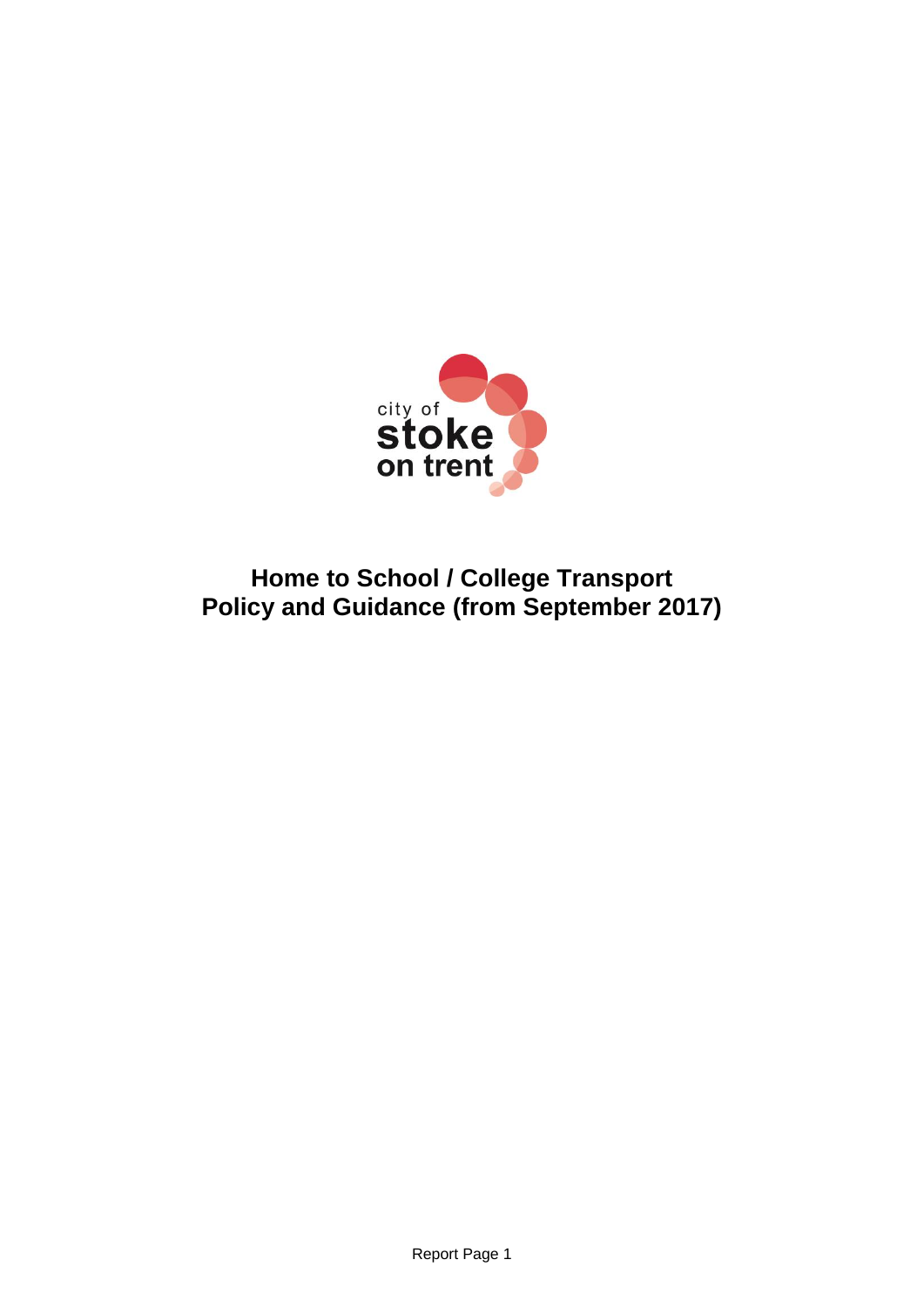

# **Home to School / College Transport Policy and Guidance (from September 2017)**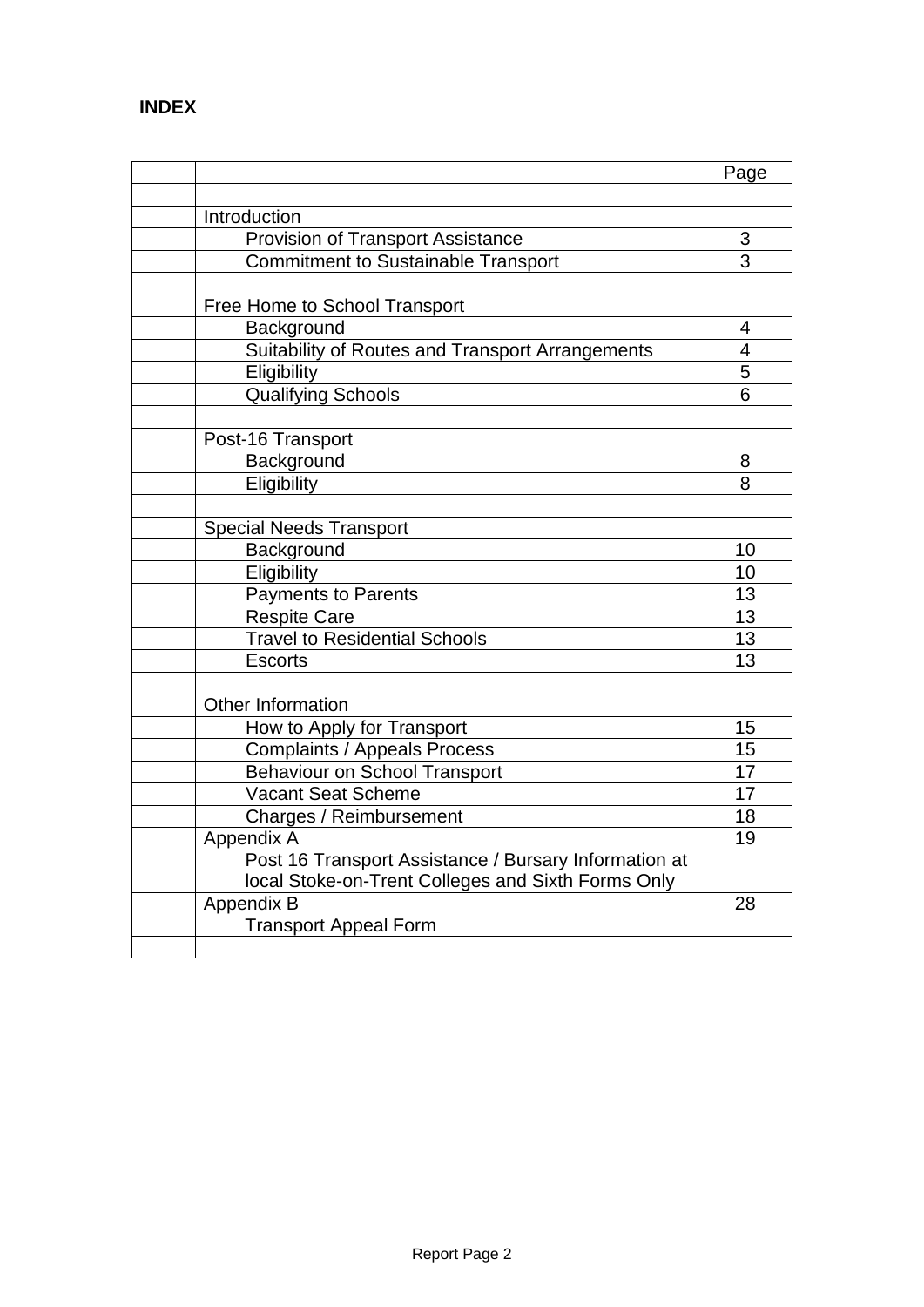|                                                                   | Page                    |
|-------------------------------------------------------------------|-------------------------|
|                                                                   |                         |
| Introduction                                                      |                         |
| <b>Provision of Transport Assistance</b>                          | 3                       |
| <b>Commitment to Sustainable Transport</b>                        | $\overline{3}$          |
| Free Home to School Transport                                     |                         |
| Background                                                        | 4                       |
| Suitability of Routes and Transport Arrangements                  | $\overline{\mathbf{4}}$ |
| Eligibility                                                       | 5                       |
| Qualifying Schools                                                | 6                       |
| Post-16 Transport                                                 |                         |
| Background                                                        | 8                       |
| Eligibility                                                       | 8                       |
| <b>Special Needs Transport</b>                                    |                         |
| Background                                                        | 10                      |
| Eligibility                                                       | 10                      |
| <b>Payments to Parents</b>                                        | 13                      |
| <b>Respite Care</b>                                               | 13                      |
| <b>Travel to Residential Schools</b>                              | 13                      |
| <b>Escorts</b>                                                    | 13                      |
| Other Information                                                 |                         |
|                                                                   | 15                      |
| How to Apply for Transport                                        | 15                      |
| <b>Complaints / Appeals Process</b>                               | 17                      |
| <b>Behaviour on School Transport</b><br><b>Vacant Seat Scheme</b> | 17                      |
| Charges / Reimbursement                                           | 18                      |
| Appendix A                                                        | 19                      |
| Post 16 Transport Assistance / Bursary Information at             |                         |
| local Stoke-on-Trent Colleges and Sixth Forms Only                |                         |
| Appendix B                                                        | 28                      |
| <b>Transport Appeal Form</b>                                      |                         |
|                                                                   |                         |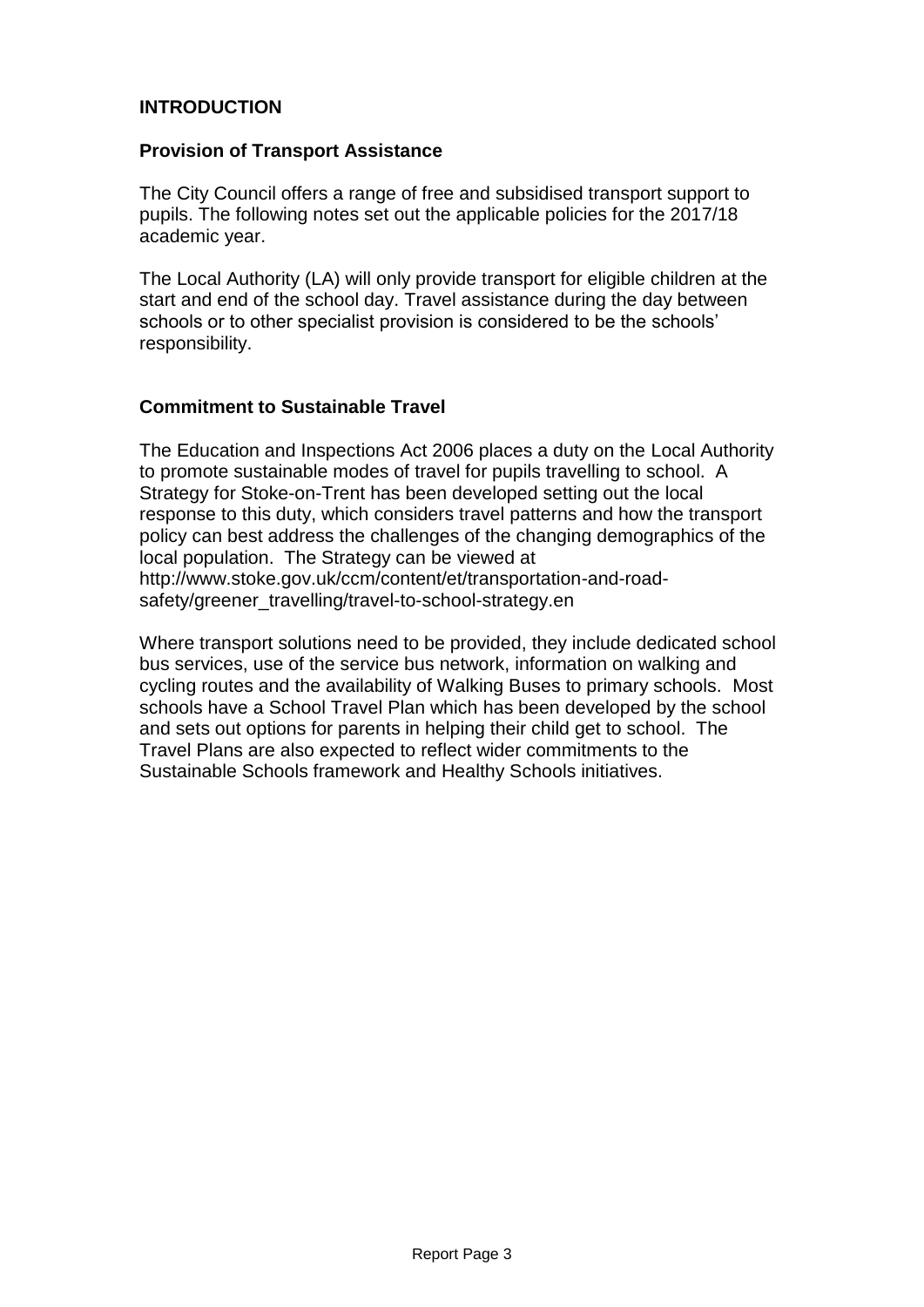## **INTRODUCTION**

#### **Provision of Transport Assistance**

The City Council offers a range of free and subsidised transport support to pupils. The following notes set out the applicable policies for the 2017/18 academic year.

The Local Authority (LA) will only provide transport for eligible children at the start and end of the school day. Travel assistance during the day between schools or to other specialist provision is considered to be the schools' responsibility.

#### **Commitment to Sustainable Travel**

The Education and Inspections Act 2006 places a duty on the Local Authority to promote sustainable modes of travel for pupils travelling to school. A Strategy for Stoke-on-Trent has been developed setting out the local response to this duty, which considers travel patterns and how the transport policy can best address the challenges of the changing demographics of the local population. The Strategy can be viewed at http://www.stoke.gov.uk/ccm/content/et/transportation-and-roadsafety/greener\_travelling/travel-to-school-strategy.en

Where transport solutions need to be provided, they include dedicated school bus services, use of the service bus network, information on walking and cycling routes and the availability of Walking Buses to primary schools. Most schools have a School Travel Plan which has been developed by the school and sets out options for parents in helping their child get to school. The Travel Plans are also expected to reflect wider commitments to the Sustainable Schools framework and Healthy Schools initiatives.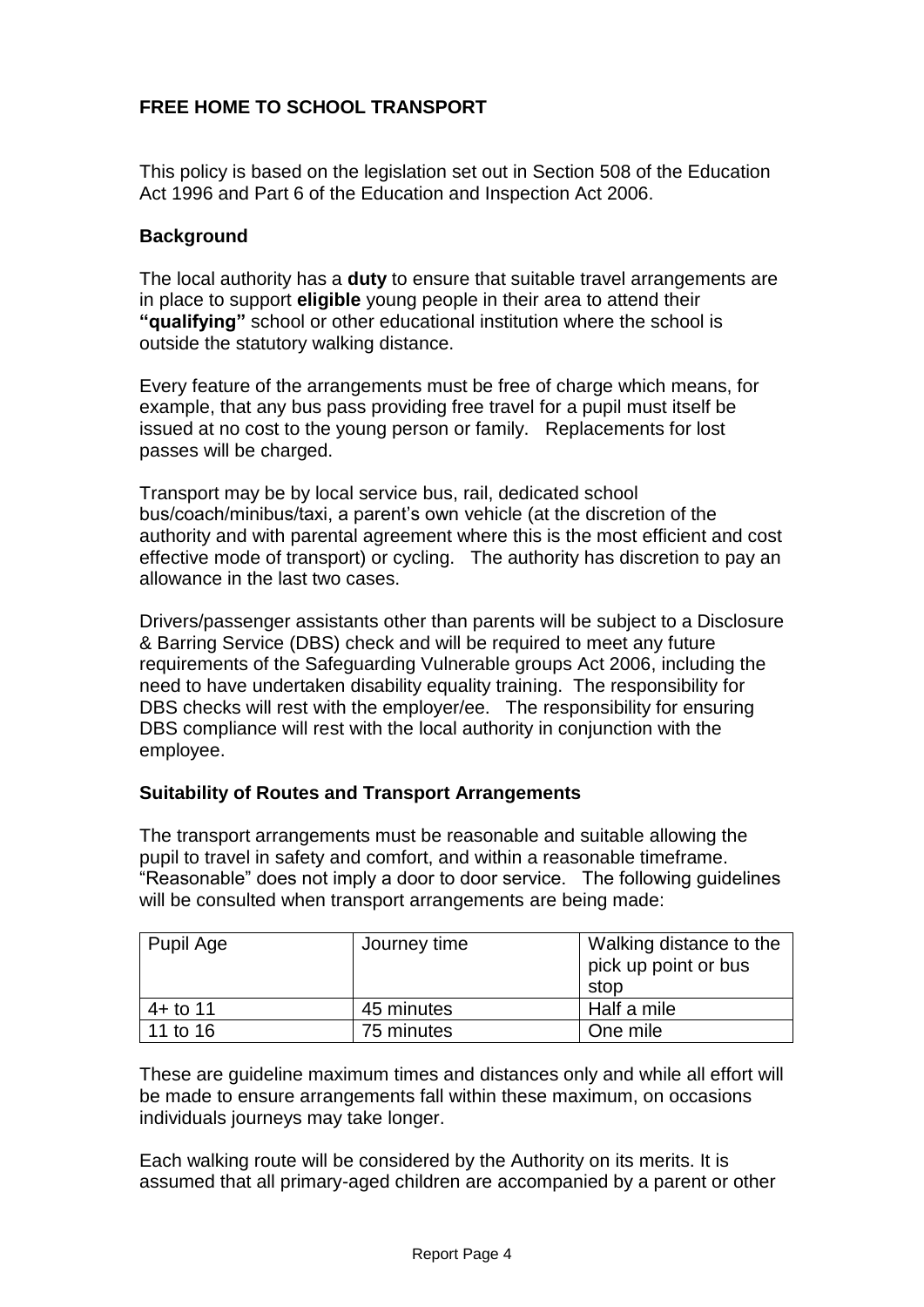## **FREE HOME TO SCHOOL TRANSPORT**

This policy is based on the legislation set out in Section 508 of the Education Act 1996 and Part 6 of the Education and Inspection Act 2006.

## **Background**

The local authority has a **duty** to ensure that suitable travel arrangements are in place to support **eligible** young people in their area to attend their **"qualifying"** school or other educational institution where the school is outside the statutory walking distance.

Every feature of the arrangements must be free of charge which means, for example, that any bus pass providing free travel for a pupil must itself be issued at no cost to the young person or family. Replacements for lost passes will be charged.

Transport may be by local service bus, rail, dedicated school bus/coach/minibus/taxi, a parent's own vehicle (at the discretion of the authority and with parental agreement where this is the most efficient and cost effective mode of transport) or cycling. The authority has discretion to pay an allowance in the last two cases.

Drivers/passenger assistants other than parents will be subject to a Disclosure & Barring Service (DBS) check and will be required to meet any future requirements of the Safeguarding Vulnerable groups Act 2006, including the need to have undertaken disability equality training. The responsibility for DBS checks will rest with the employer/ee. The responsibility for ensuring DBS compliance will rest with the local authority in conjunction with the employee.

### **Suitability of Routes and Transport Arrangements**

The transport arrangements must be reasonable and suitable allowing the pupil to travel in safety and comfort, and within a reasonable timeframe. "Reasonable" does not imply a door to door service. The following guidelines will be consulted when transport arrangements are being made:

| Pupil Age   | Journey time | Walking distance to the<br>pick up point or bus<br>stop |
|-------------|--------------|---------------------------------------------------------|
| $4 +$ to 11 | 45 minutes   | Half a mile                                             |
| 11 to 16    | 75 minutes   | One mile                                                |

These are guideline maximum times and distances only and while all effort will be made to ensure arrangements fall within these maximum, on occasions individuals journeys may take longer.

Each walking route will be considered by the Authority on its merits. It is assumed that all primary-aged children are accompanied by a parent or other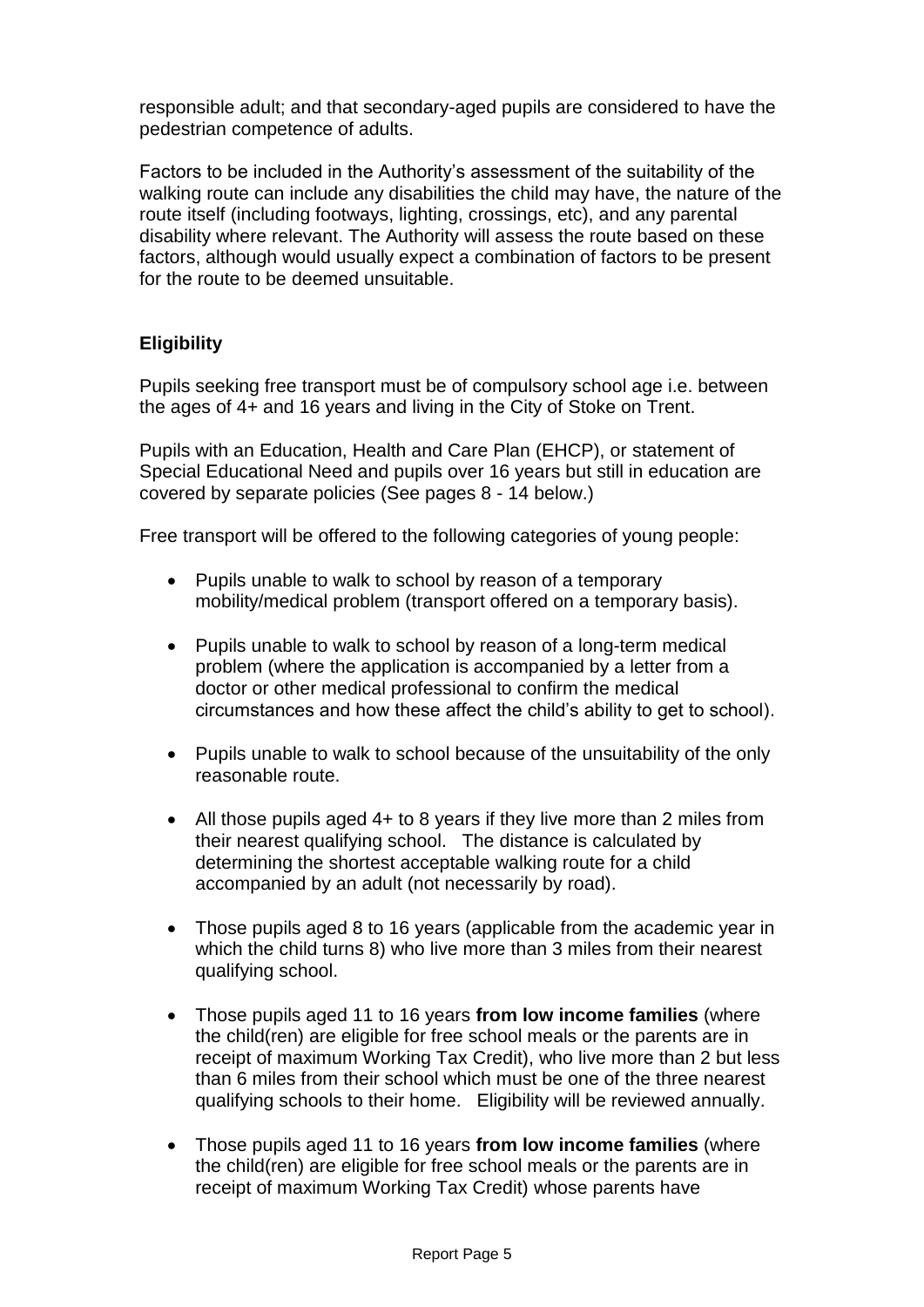responsible adult; and that secondary-aged pupils are considered to have the pedestrian competence of adults.

Factors to be included in the Authority's assessment of the suitability of the walking route can include any disabilities the child may have, the nature of the route itself (including footways, lighting, crossings, etc), and any parental disability where relevant. The Authority will assess the route based on these factors, although would usually expect a combination of factors to be present for the route to be deemed unsuitable.

## **Eligibility**

Pupils seeking free transport must be of compulsory school age i.e. between the ages of 4+ and 16 years and living in the City of Stoke on Trent.

Pupils with an Education, Health and Care Plan (EHCP), or statement of Special Educational Need and pupils over 16 years but still in education are covered by separate policies (See pages 8 - 14 below.)

Free transport will be offered to the following categories of young people:

- Pupils unable to walk to school by reason of a temporary mobility/medical problem (transport offered on a temporary basis).
- Pupils unable to walk to school by reason of a long-term medical problem (where the application is accompanied by a letter from a doctor or other medical professional to confirm the medical circumstances and how these affect the child's ability to get to school).
- Pupils unable to walk to school because of the unsuitability of the only reasonable route.
- All those pupils aged 4+ to 8 years if they live more than 2 miles from their nearest qualifying school. The distance is calculated by determining the shortest acceptable walking route for a child accompanied by an adult (not necessarily by road).
- Those pupils aged 8 to 16 years (applicable from the academic year in which the child turns 8) who live more than 3 miles from their nearest qualifying school.
- Those pupils aged 11 to 16 years **from low income families** (where the child(ren) are eligible for free school meals or the parents are in receipt of maximum Working Tax Credit), who live more than 2 but less than 6 miles from their school which must be one of the three nearest qualifying schools to their home. Eligibility will be reviewed annually.
- Those pupils aged 11 to 16 years **from low income families** (where the child(ren) are eligible for free school meals or the parents are in receipt of maximum Working Tax Credit) whose parents have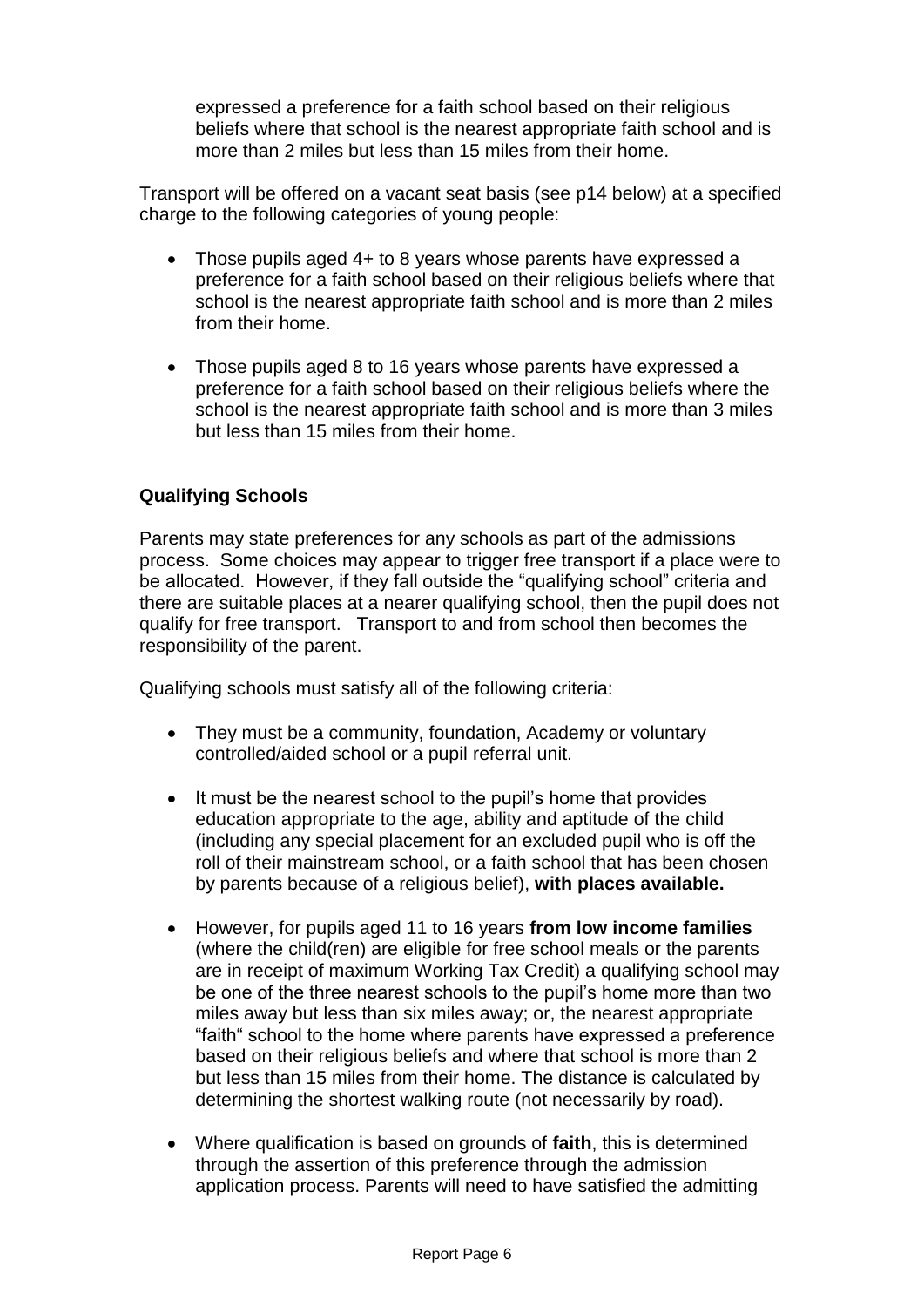expressed a preference for a faith school based on their religious beliefs where that school is the nearest appropriate faith school and is more than 2 miles but less than 15 miles from their home.

Transport will be offered on a vacant seat basis (see p14 below) at a specified charge to the following categories of young people:

- Those pupils aged 4+ to 8 years whose parents have expressed a preference for a faith school based on their religious beliefs where that school is the nearest appropriate faith school and is more than 2 miles from their home.
- Those pupils aged 8 to 16 years whose parents have expressed a preference for a faith school based on their religious beliefs where the school is the nearest appropriate faith school and is more than 3 miles but less than 15 miles from their home.

## **Qualifying Schools**

Parents may state preferences for any schools as part of the admissions process. Some choices may appear to trigger free transport if a place were to be allocated. However, if they fall outside the "qualifying school" criteria and there are suitable places at a nearer qualifying school, then the pupil does not qualify for free transport. Transport to and from school then becomes the responsibility of the parent.

Qualifying schools must satisfy all of the following criteria:

- They must be a community, foundation, Academy or voluntary controlled/aided school or a pupil referral unit.
- It must be the nearest school to the pupil's home that provides education appropriate to the age, ability and aptitude of the child (including any special placement for an excluded pupil who is off the roll of their mainstream school, or a faith school that has been chosen by parents because of a religious belief), **with places available.**
- However, for pupils aged 11 to 16 years **from low income families** (where the child(ren) are eligible for free school meals or the parents are in receipt of maximum Working Tax Credit) a qualifying school may be one of the three nearest schools to the pupil's home more than two miles away but less than six miles away; or, the nearest appropriate "faith" school to the home where parents have expressed a preference based on their religious beliefs and where that school is more than 2 but less than 15 miles from their home. The distance is calculated by determining the shortest walking route (not necessarily by road).
- Where qualification is based on grounds of **faith**, this is determined through the assertion of this preference through the admission application process. Parents will need to have satisfied the admitting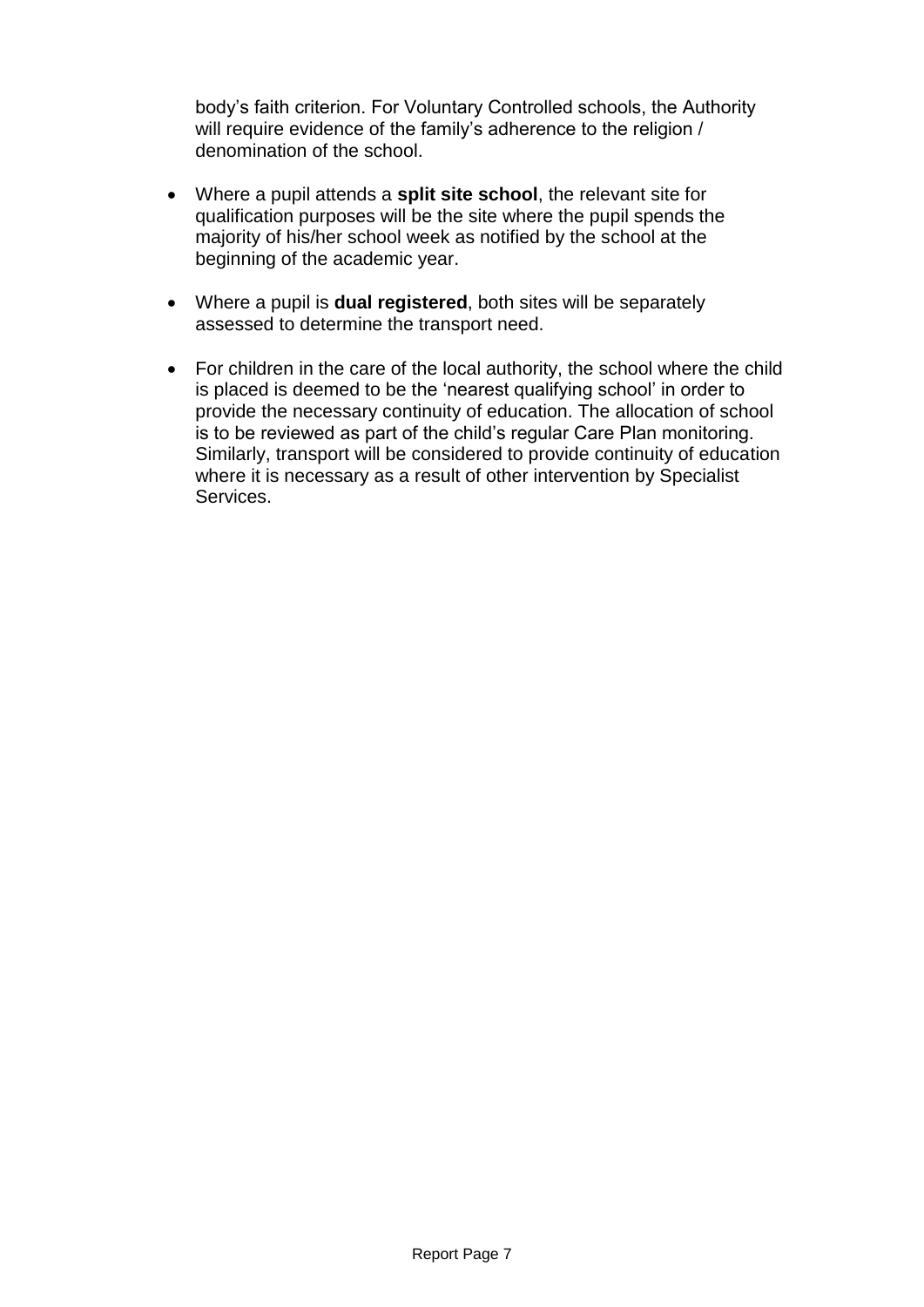body's faith criterion. For Voluntary Controlled schools, the Authority will require evidence of the family's adherence to the religion / denomination of the school.

- Where a pupil attends a **split site school**, the relevant site for qualification purposes will be the site where the pupil spends the majority of his/her school week as notified by the school at the beginning of the academic year.
- Where a pupil is **dual registered**, both sites will be separately assessed to determine the transport need.
- For children in the care of the local authority, the school where the child is placed is deemed to be the 'nearest qualifying school' in order to provide the necessary continuity of education. The allocation of school is to be reviewed as part of the child's regular Care Plan monitoring. Similarly, transport will be considered to provide continuity of education where it is necessary as a result of other intervention by Specialist Services.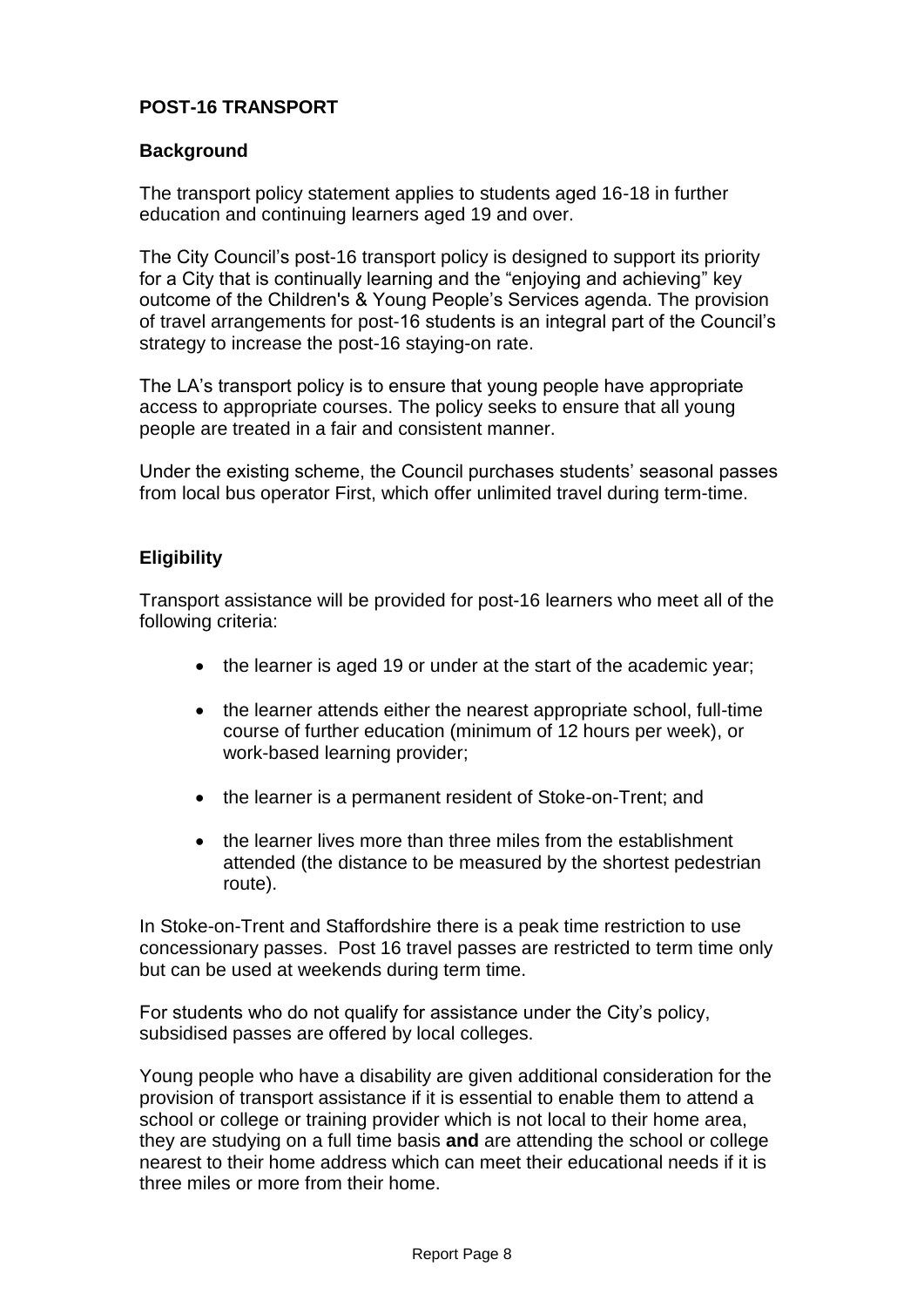## **POST-16 TRANSPORT**

#### **Background**

The transport policy statement applies to students aged 16-18 in further education and continuing learners aged 19 and over.

The City Council's post-16 transport policy is designed to support its priority for a City that is continually learning and the "enjoying and achieving" key outcome of the Children's & Young People's Services agenda. The provision of travel arrangements for post-16 students is an integral part of the Council's strategy to increase the post-16 staying-on rate.

The LA's transport policy is to ensure that young people have appropriate access to appropriate courses. The policy seeks to ensure that all young people are treated in a fair and consistent manner.

Under the existing scheme, the Council purchases students' seasonal passes from local bus operator First, which offer unlimited travel during term-time.

#### **Eligibility**

Transport assistance will be provided for post-16 learners who meet all of the following criteria:

- the learner is aged 19 or under at the start of the academic year;
- the learner attends either the nearest appropriate school, full-time course of further education (minimum of 12 hours per week), or work-based learning provider;
- the learner is a permanent resident of Stoke-on-Trent: and
- the learner lives more than three miles from the establishment attended (the distance to be measured by the shortest pedestrian route).

In Stoke-on-Trent and Staffordshire there is a peak time restriction to use concessionary passes. Post 16 travel passes are restricted to term time only but can be used at weekends during term time.

For students who do not qualify for assistance under the City's policy, subsidised passes are offered by local colleges.

Young people who have a disability are given additional consideration for the provision of transport assistance if it is essential to enable them to attend a school or college or training provider which is not local to their home area, they are studying on a full time basis **and** are attending the school or college nearest to their home address which can meet their educational needs if it is three miles or more from their home.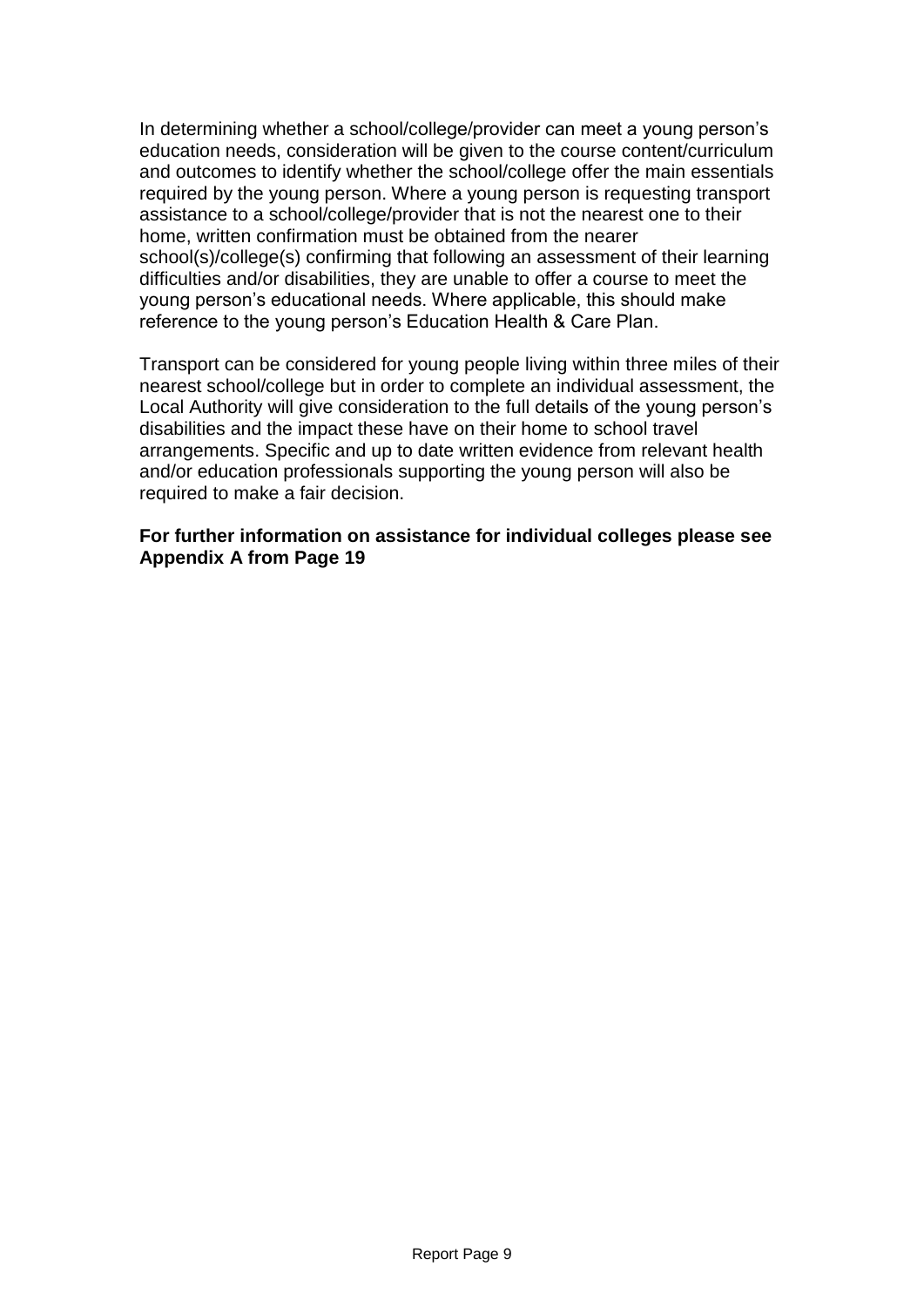In determining whether a school/college/provider can meet a young person's education needs, consideration will be given to the course content/curriculum and outcomes to identify whether the school/college offer the main essentials required by the young person. Where a young person is requesting transport assistance to a school/college/provider that is not the nearest one to their home, written confirmation must be obtained from the nearer school(s)/college(s) confirming that following an assessment of their learning difficulties and/or disabilities, they are unable to offer a course to meet the young person's educational needs. Where applicable, this should make reference to the young person's Education Health & Care Plan.

Transport can be considered for young people living within three miles of their nearest school/college but in order to complete an individual assessment, the Local Authority will give consideration to the full details of the young person's disabilities and the impact these have on their home to school travel arrangements. Specific and up to date written evidence from relevant health and/or education professionals supporting the young person will also be required to make a fair decision.

#### **For further information on assistance for individual colleges please see Appendix A from Page 19**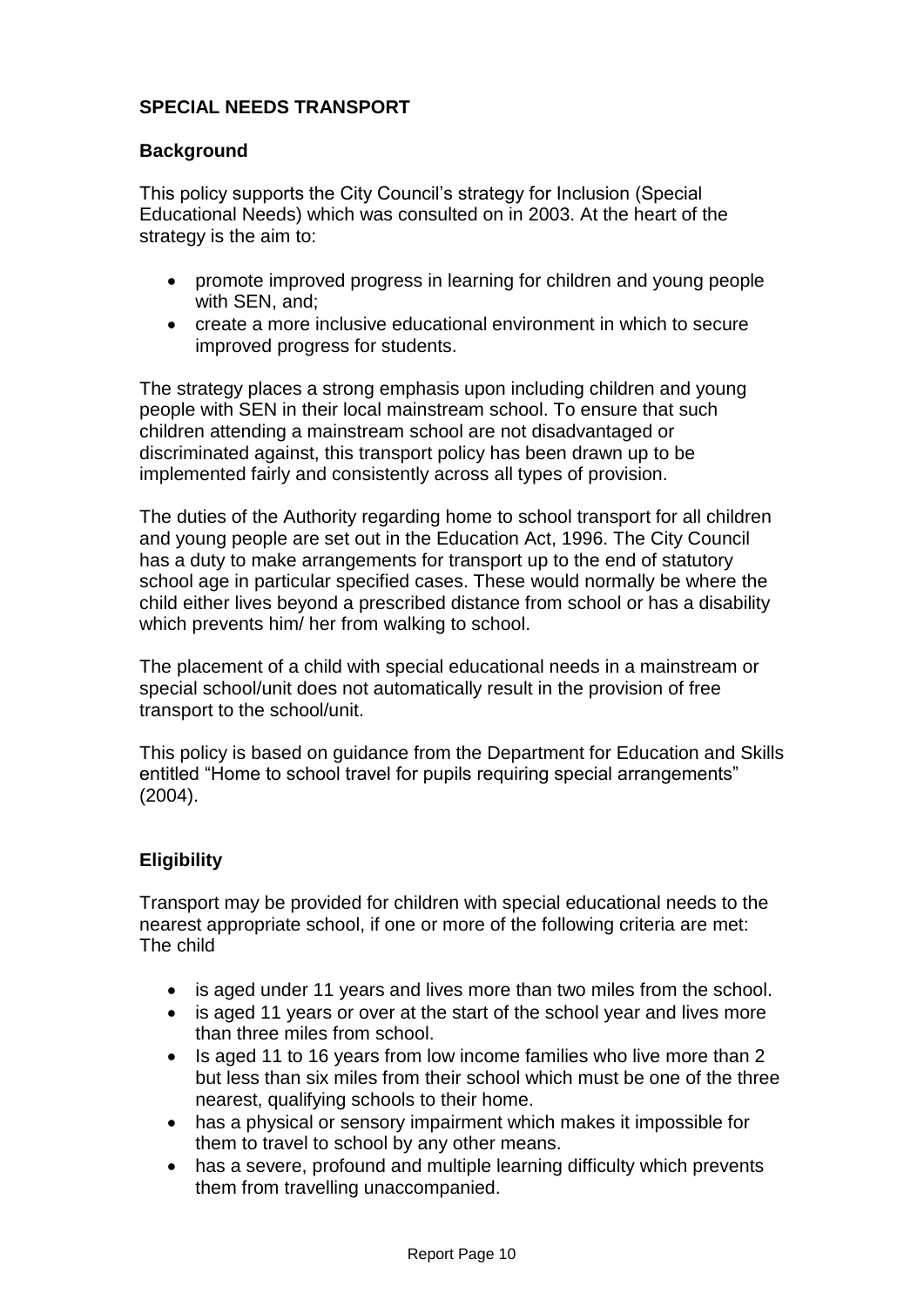## **SPECIAL NEEDS TRANSPORT**

### **Background**

This policy supports the City Council's strategy for Inclusion (Special Educational Needs) which was consulted on in 2003. At the heart of the strategy is the aim to:

- promote improved progress in learning for children and young people with SEN, and;
- create a more inclusive educational environment in which to secure improved progress for students.

The strategy places a strong emphasis upon including children and young people with SEN in their local mainstream school. To ensure that such children attending a mainstream school are not disadvantaged or discriminated against, this transport policy has been drawn up to be implemented fairly and consistently across all types of provision.

The duties of the Authority regarding home to school transport for all children and young people are set out in the Education Act, 1996. The City Council has a duty to make arrangements for transport up to the end of statutory school age in particular specified cases. These would normally be where the child either lives beyond a prescribed distance from school or has a disability which prevents him/ her from walking to school.

The placement of a child with special educational needs in a mainstream or special school/unit does not automatically result in the provision of free transport to the school/unit.

This policy is based on guidance from the Department for Education and Skills entitled "Home to school travel for pupils requiring special arrangements" (2004).

### **Eligibility**

Transport may be provided for children with special educational needs to the nearest appropriate school, if one or more of the following criteria are met: The child

- is aged under 11 years and lives more than two miles from the school.
- is aged 11 years or over at the start of the school year and lives more than three miles from school.
- Is aged 11 to 16 years from low income families who live more than 2 but less than six miles from their school which must be one of the three nearest, qualifying schools to their home.
- has a physical or sensory impairment which makes it impossible for them to travel to school by any other means.
- has a severe, profound and multiple learning difficulty which prevents them from travelling unaccompanied.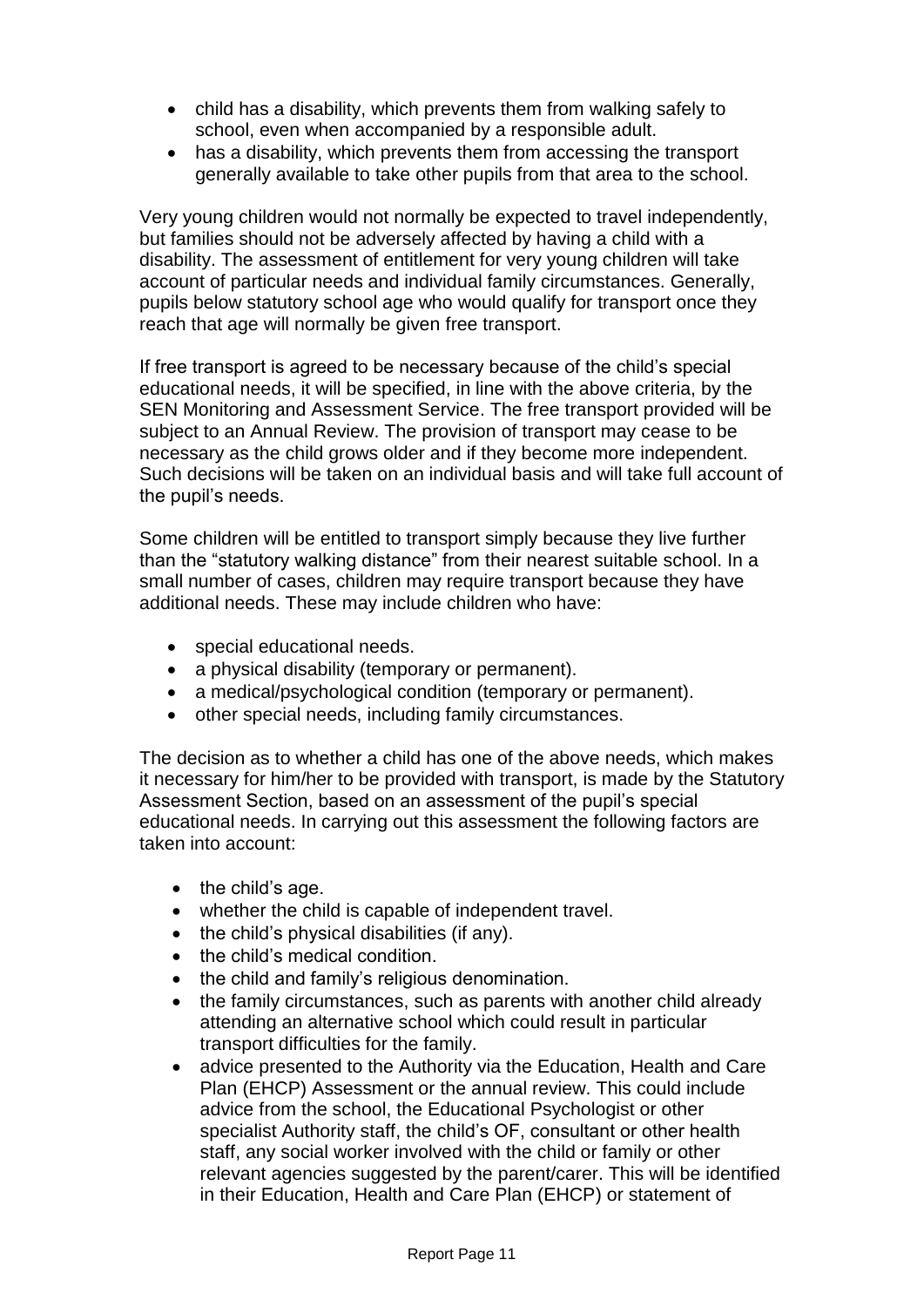- child has a disability, which prevents them from walking safely to school, even when accompanied by a responsible adult.
- has a disability, which prevents them from accessing the transport generally available to take other pupils from that area to the school.

Very young children would not normally be expected to travel independently, but families should not be adversely affected by having a child with a disability. The assessment of entitlement for very young children will take account of particular needs and individual family circumstances. Generally, pupils below statutory school age who would qualify for transport once they reach that age will normally be given free transport.

If free transport is agreed to be necessary because of the child's special educational needs, it will be specified, in line with the above criteria, by the SEN Monitoring and Assessment Service. The free transport provided will be subject to an Annual Review. The provision of transport may cease to be necessary as the child grows older and if they become more independent. Such decisions will be taken on an individual basis and will take full account of the pupil's needs.

Some children will be entitled to transport simply because they live further than the "statutory walking distance" from their nearest suitable school. In a small number of cases, children may require transport because they have additional needs. These may include children who have:

- special educational needs.
- a physical disability (temporary or permanent).
- a medical/psychological condition (temporary or permanent).
- other special needs, including family circumstances.

The decision as to whether a child has one of the above needs, which makes it necessary for him/her to be provided with transport, is made by the Statutory Assessment Section, based on an assessment of the pupil's special educational needs. In carrying out this assessment the following factors are taken into account:

- $\bullet$  the child's age.
- whether the child is capable of independent travel.
- $\bullet$  the child's physical disabilities (if any).
- the child's medical condition.
- the child and family's religious denomination.
- the family circumstances, such as parents with another child already attending an alternative school which could result in particular transport difficulties for the family.
- advice presented to the Authority via the Education, Health and Care Plan (EHCP) Assessment or the annual review. This could include advice from the school, the Educational Psychologist or other specialist Authority staff, the child's OF, consultant or other health staff, any social worker involved with the child or family or other relevant agencies suggested by the parent/carer. This will be identified in their Education, Health and Care Plan (EHCP) or statement of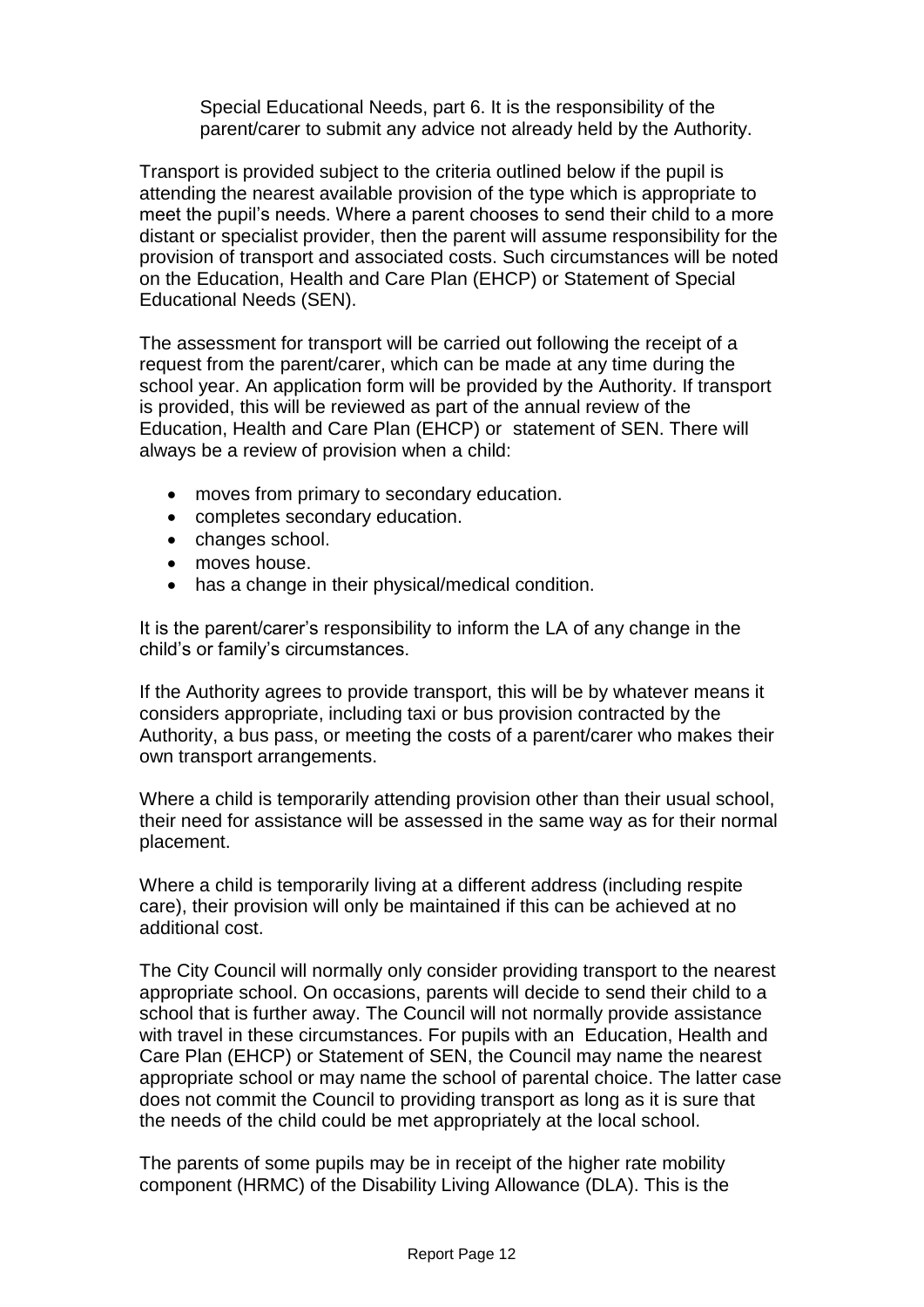Special Educational Needs, part 6. It is the responsibility of the parent/carer to submit any advice not already held by the Authority.

Transport is provided subject to the criteria outlined below if the pupil is attending the nearest available provision of the type which is appropriate to meet the pupil's needs. Where a parent chooses to send their child to a more distant or specialist provider, then the parent will assume responsibility for the provision of transport and associated costs. Such circumstances will be noted on the Education, Health and Care Plan (EHCP) or Statement of Special Educational Needs (SEN).

The assessment for transport will be carried out following the receipt of a request from the parent/carer, which can be made at any time during the school year. An application form will be provided by the Authority. If transport is provided, this will be reviewed as part of the annual review of the Education, Health and Care Plan (EHCP) or statement of SEN. There will always be a review of provision when a child:

- moves from primary to secondary education.
- completes secondary education.
- changes school.
- moves house.
- has a change in their physical/medical condition.

It is the parent/carer's responsibility to inform the LA of any change in the child's or family's circumstances.

If the Authority agrees to provide transport, this will be by whatever means it considers appropriate, including taxi or bus provision contracted by the Authority, a bus pass, or meeting the costs of a parent/carer who makes their own transport arrangements.

Where a child is temporarily attending provision other than their usual school, their need for assistance will be assessed in the same way as for their normal placement.

Where a child is temporarily living at a different address (including respite care), their provision will only be maintained if this can be achieved at no additional cost.

The City Council will normally only consider providing transport to the nearest appropriate school. On occasions, parents will decide to send their child to a school that is further away. The Council will not normally provide assistance with travel in these circumstances. For pupils with an Education, Health and Care Plan (EHCP) or Statement of SEN, the Council may name the nearest appropriate school or may name the school of parental choice. The latter case does not commit the Council to providing transport as long as it is sure that the needs of the child could be met appropriately at the local school.

The parents of some pupils may be in receipt of the higher rate mobility component (HRMC) of the Disability Living Allowance (DLA). This is the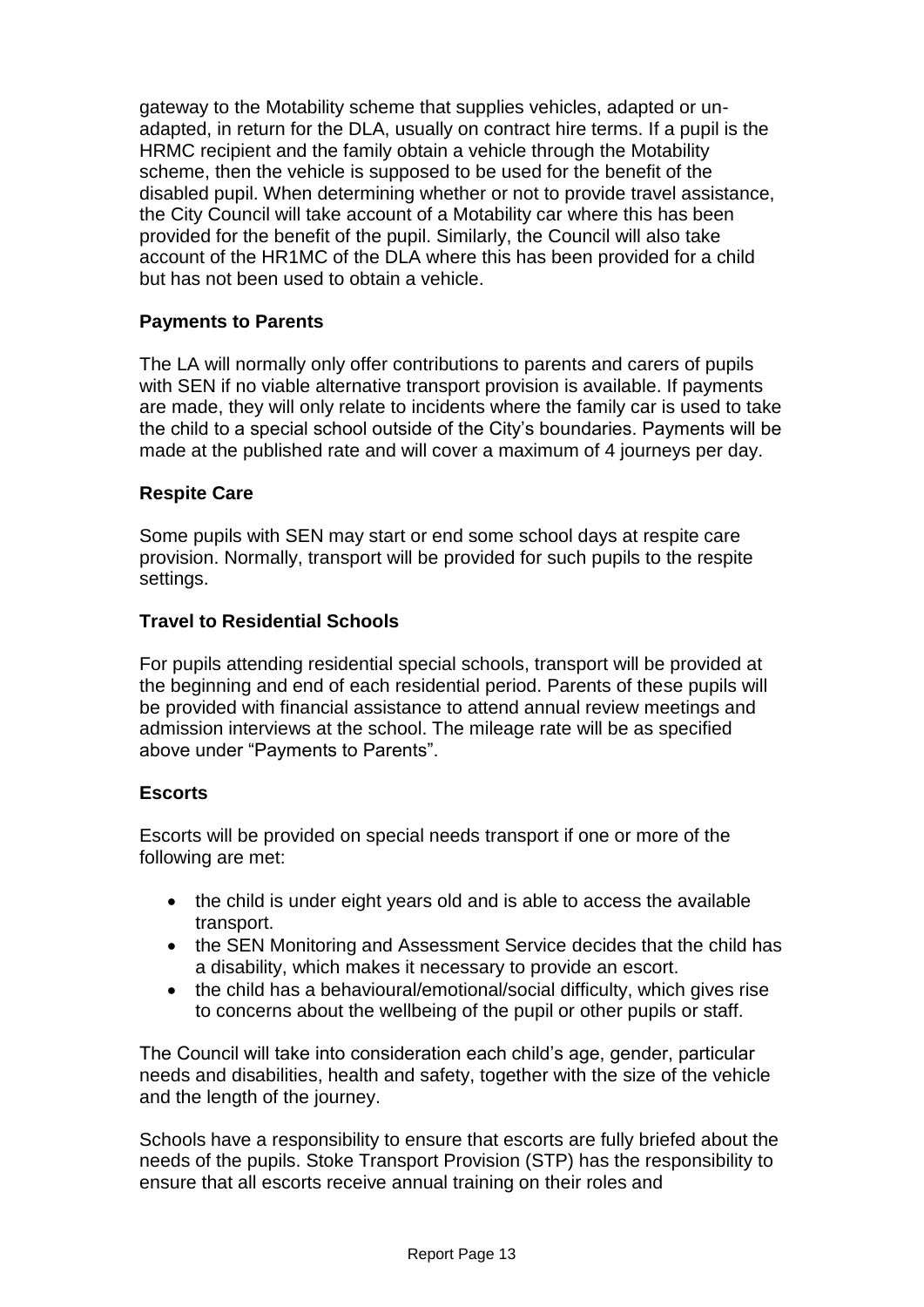gateway to the Motability scheme that supplies vehicles, adapted or unadapted, in return for the DLA, usually on contract hire terms. If a pupil is the HRMC recipient and the family obtain a vehicle through the Motability scheme, then the vehicle is supposed to be used for the benefit of the disabled pupil. When determining whether or not to provide travel assistance, the City Council will take account of a Motability car where this has been provided for the benefit of the pupil. Similarly, the Council will also take account of the HR1MC of the DLA where this has been provided for a child but has not been used to obtain a vehicle.

## **Payments to Parents**

The LA will normally only offer contributions to parents and carers of pupils with SEN if no viable alternative transport provision is available. If payments are made, they will only relate to incidents where the family car is used to take the child to a special school outside of the City's boundaries. Payments will be made at the published rate and will cover a maximum of 4 journeys per day.

### **Respite Care**

Some pupils with SEN may start or end some school days at respite care provision. Normally, transport will be provided for such pupils to the respite settings.

### **Travel to Residential Schools**

For pupils attending residential special schools, transport will be provided at the beginning and end of each residential period. Parents of these pupils will be provided with financial assistance to attend annual review meetings and admission interviews at the school. The mileage rate will be as specified above under "Payments to Parents".

### **Escorts**

Escorts will be provided on special needs transport if one or more of the following are met:

- the child is under eight years old and is able to access the available transport.
- the SEN Monitoring and Assessment Service decides that the child has a disability, which makes it necessary to provide an escort.
- the child has a behavioural/emotional/social difficulty, which gives rise to concerns about the wellbeing of the pupil or other pupils or staff.

The Council will take into consideration each child's age, gender, particular needs and disabilities, health and safety, together with the size of the vehicle and the length of the journey.

Schools have a responsibility to ensure that escorts are fully briefed about the needs of the pupils. Stoke Transport Provision (STP) has the responsibility to ensure that all escorts receive annual training on their roles and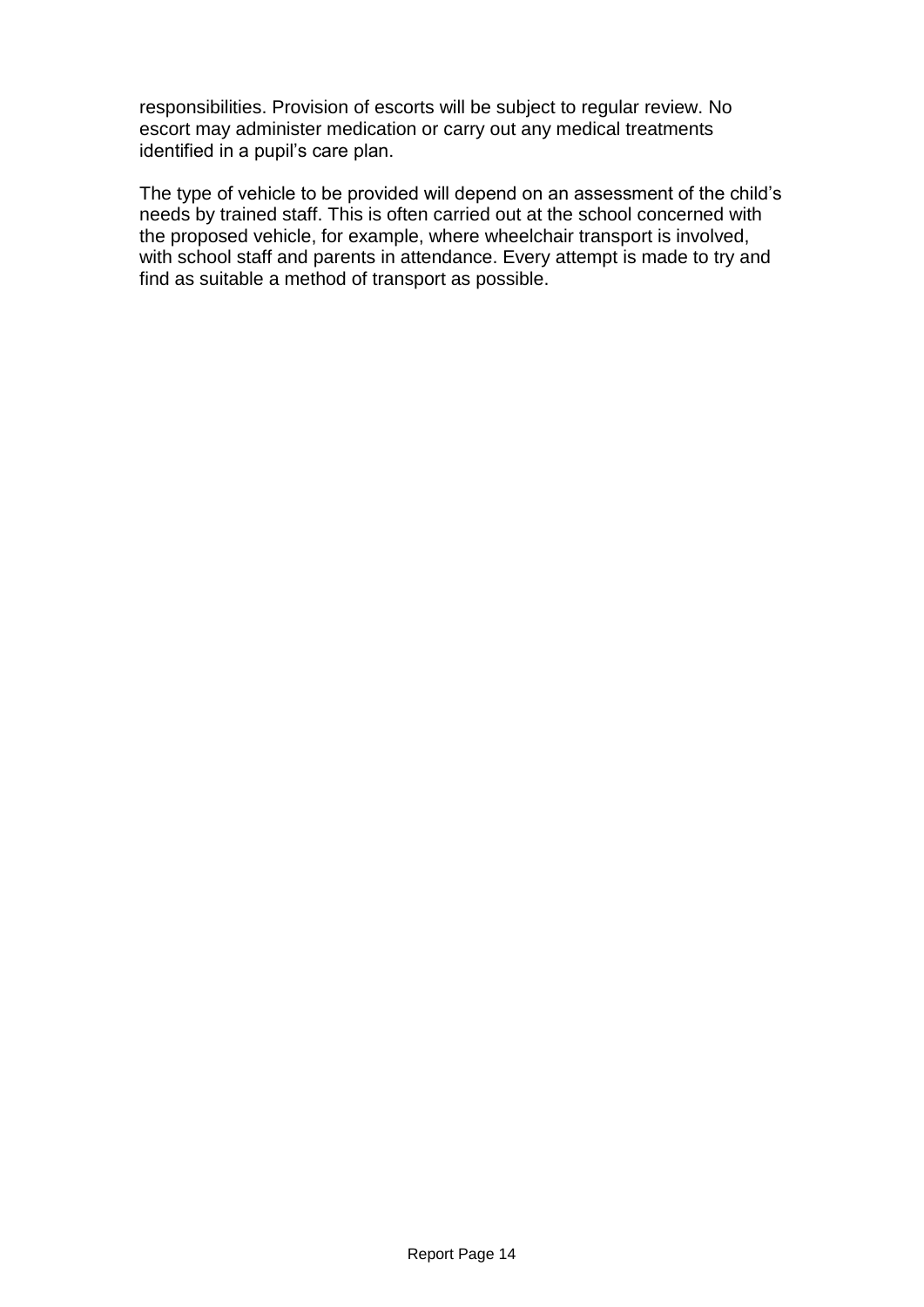responsibilities. Provision of escorts will be subject to regular review. No escort may administer medication or carry out any medical treatments identified in a pupil's care plan.

The type of vehicle to be provided will depend on an assessment of the child's needs by trained staff. This is often carried out at the school concerned with the proposed vehicle, for example, where wheelchair transport is involved, with school staff and parents in attendance. Every attempt is made to try and find as suitable a method of transport as possible.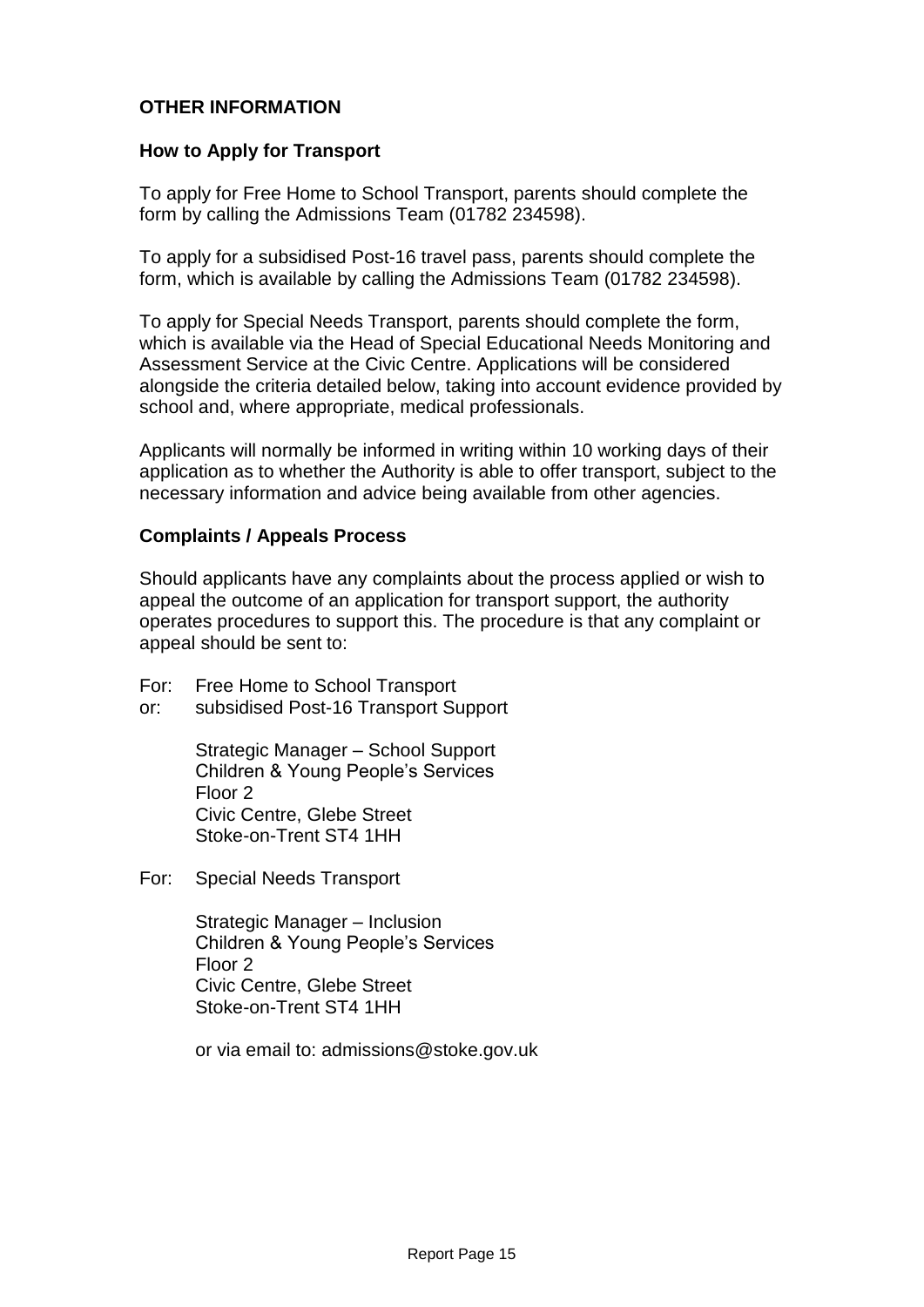## **OTHER INFORMATION**

#### **How to Apply for Transport**

To apply for Free Home to School Transport, parents should complete the form by calling the Admissions Team (01782 234598).

To apply for a subsidised Post-16 travel pass, parents should complete the form, which is available by calling the Admissions Team (01782 234598).

To apply for Special Needs Transport, parents should complete the form, which is available via the Head of Special Educational Needs Monitoring and Assessment Service at the Civic Centre. Applications will be considered alongside the criteria detailed below, taking into account evidence provided by school and, where appropriate, medical professionals.

Applicants will normally be informed in writing within 10 working days of their application as to whether the Authority is able to offer transport, subject to the necessary information and advice being available from other agencies.

### **Complaints / Appeals Process**

Should applicants have any complaints about the process applied or wish to appeal the outcome of an application for transport support, the authority operates procedures to support this. The procedure is that any complaint or appeal should be sent to:

- For: Free Home to School Transport
- or: subsidised Post-16 Transport Support

Strategic Manager – School Support Children & Young People's Services Floor 2 Civic Centre, Glebe Street Stoke-on-Trent ST4 1HH

For: Special Needs Transport

Strategic Manager – Inclusion Children & Young People's Services Floor 2 Civic Centre, Glebe Street Stoke-on-Trent ST4 1HH

or via email to: admissions@stoke.gov.uk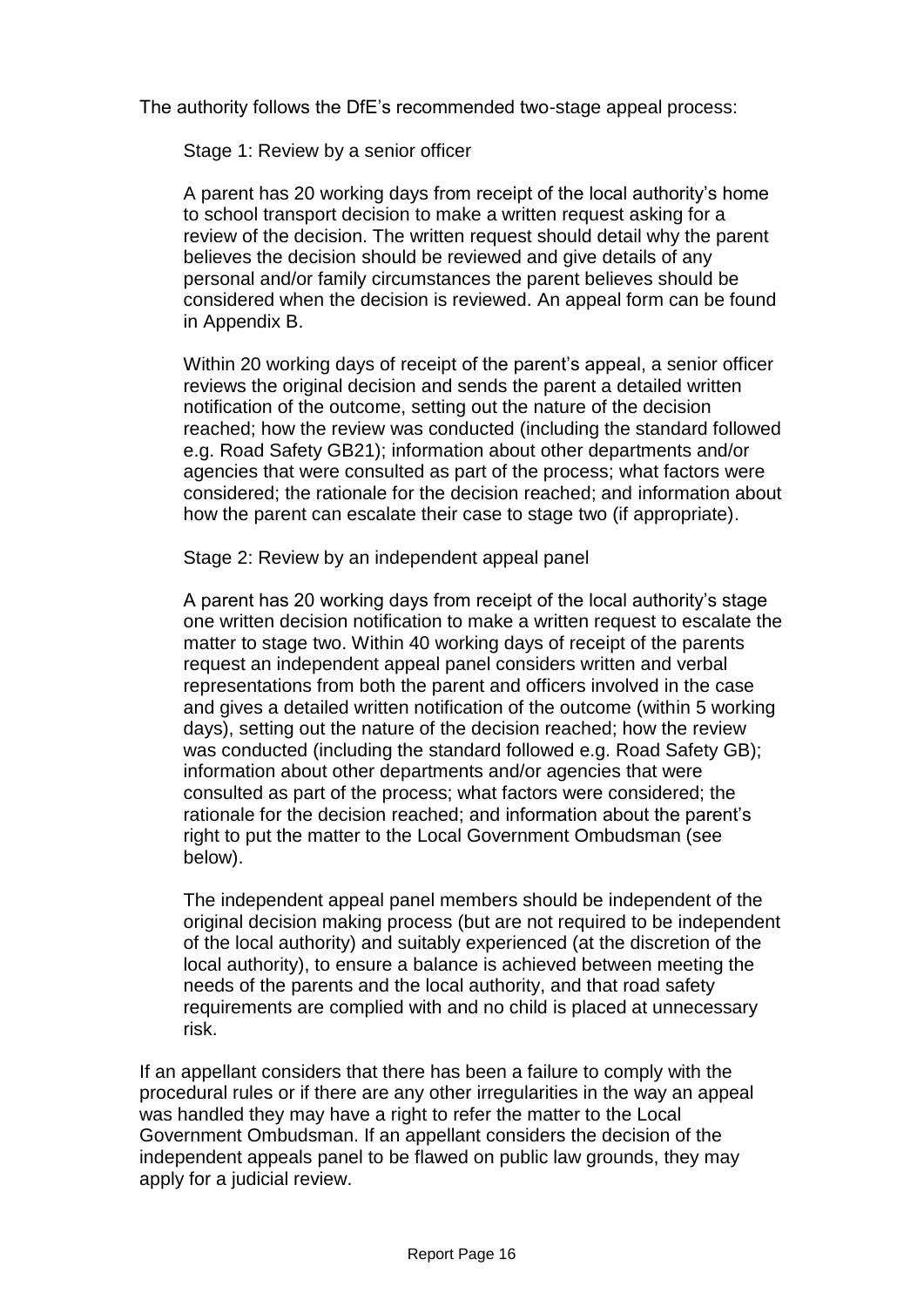The authority follows the DfE's recommended two-stage appeal process:

Stage 1: Review by a senior officer

A parent has 20 working days from receipt of the local authority's home to school transport decision to make a written request asking for a review of the decision. The written request should detail why the parent believes the decision should be reviewed and give details of any personal and/or family circumstances the parent believes should be considered when the decision is reviewed. An appeal form can be found in Appendix B.

Within 20 working days of receipt of the parent's appeal, a senior officer reviews the original decision and sends the parent a detailed written notification of the outcome, setting out the nature of the decision reached; how the review was conducted (including the standard followed e.g. Road Safety GB21); information about other departments and/or agencies that were consulted as part of the process; what factors were considered; the rationale for the decision reached; and information about how the parent can escalate their case to stage two (if appropriate).

Stage 2: Review by an independent appeal panel

A parent has 20 working days from receipt of the local authority's stage one written decision notification to make a written request to escalate the matter to stage two. Within 40 working days of receipt of the parents request an independent appeal panel considers written and verbal representations from both the parent and officers involved in the case and gives a detailed written notification of the outcome (within 5 working days), setting out the nature of the decision reached; how the review was conducted (including the standard followed e.g. Road Safety GB); information about other departments and/or agencies that were consulted as part of the process; what factors were considered; the rationale for the decision reached; and information about the parent's right to put the matter to the Local Government Ombudsman (see below).

The independent appeal panel members should be independent of the original decision making process (but are not required to be independent of the local authority) and suitably experienced (at the discretion of the local authority), to ensure a balance is achieved between meeting the needs of the parents and the local authority, and that road safety requirements are complied with and no child is placed at unnecessary risk.

If an appellant considers that there has been a failure to comply with the procedural rules or if there are any other irregularities in the way an appeal was handled they may have a right to refer the matter to the Local Government Ombudsman. If an appellant considers the decision of the independent appeals panel to be flawed on public law grounds, they may apply for a judicial review.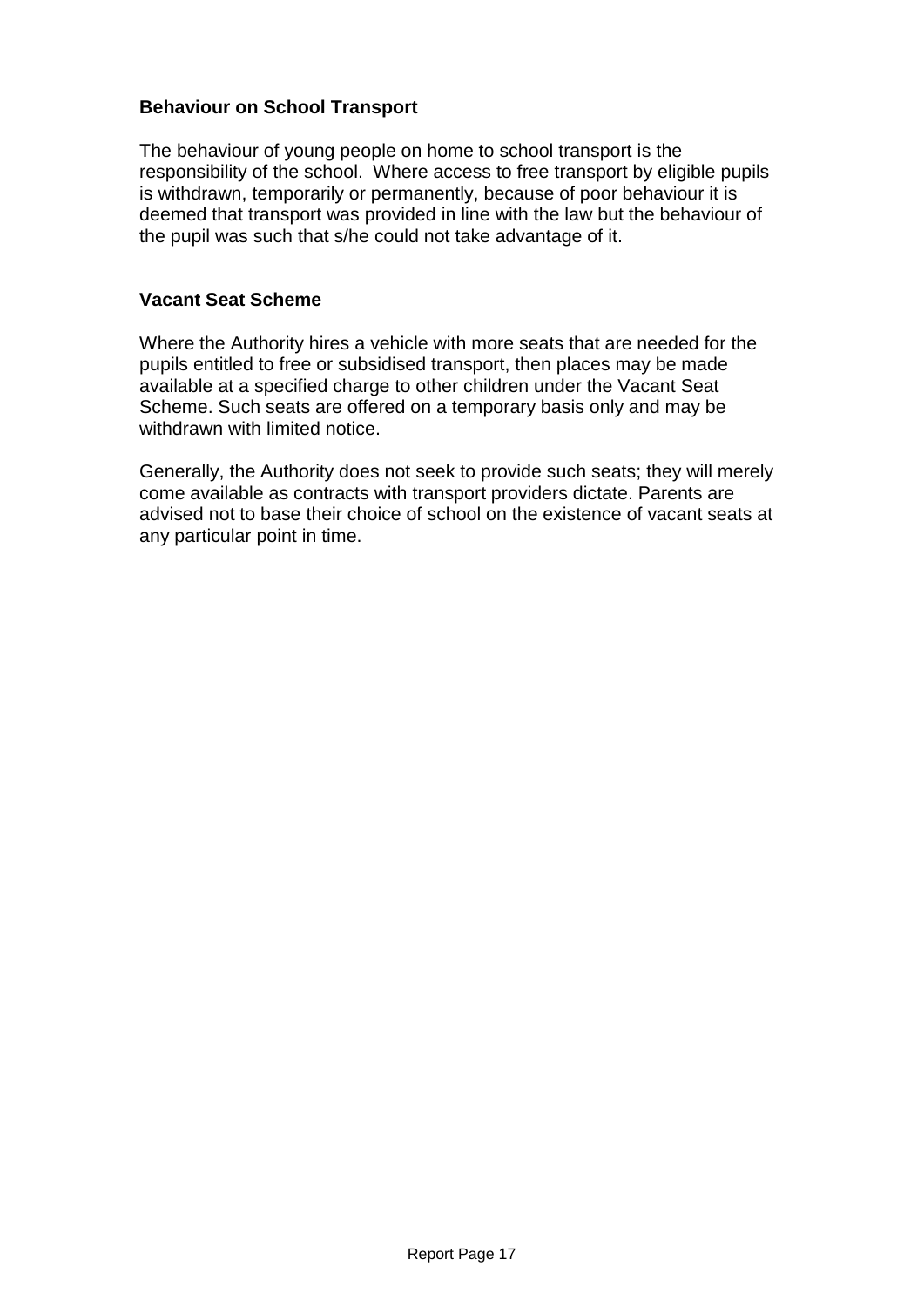## **Behaviour on School Transport**

The behaviour of young people on home to school transport is the responsibility of the school. Where access to free transport by eligible pupils is withdrawn, temporarily or permanently, because of poor behaviour it is deemed that transport was provided in line with the law but the behaviour of the pupil was such that s/he could not take advantage of it.

## **Vacant Seat Scheme**

Where the Authority hires a vehicle with more seats that are needed for the pupils entitled to free or subsidised transport, then places may be made available at a specified charge to other children under the Vacant Seat Scheme. Such seats are offered on a temporary basis only and may be withdrawn with limited notice.

Generally, the Authority does not seek to provide such seats; they will merely come available as contracts with transport providers dictate. Parents are advised not to base their choice of school on the existence of vacant seats at any particular point in time.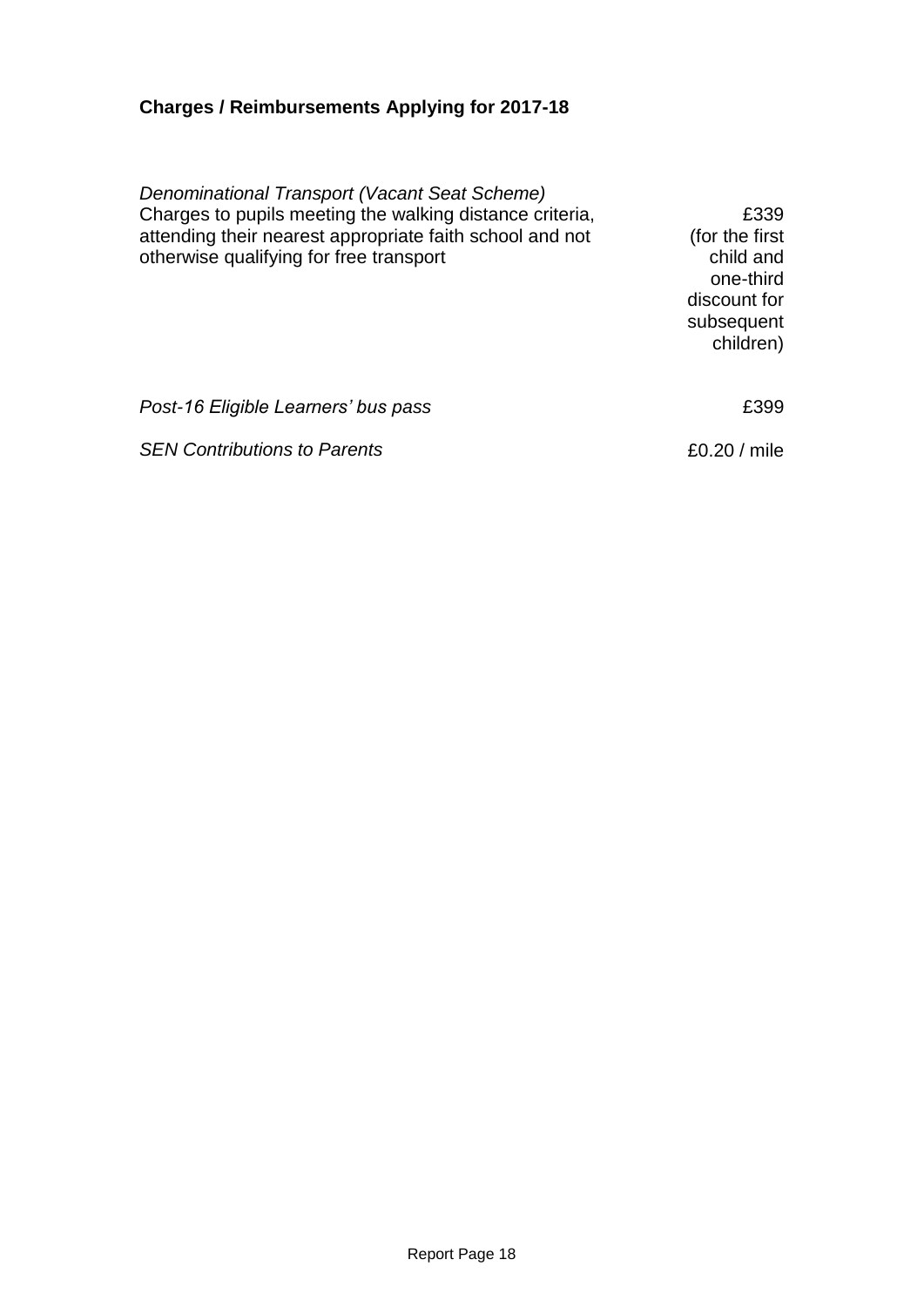## **Charges / Reimbursements Applying for 2017-18**

*Denominational Transport (Vacant Seat Scheme)* Charges to pupils meeting the walking distance criteria, attending their nearest appropriate faith school and not otherwise qualifying for free transport

£339 (for the first child and one-third discount for subsequent children)

Post-16 Eligible Learners' bus pass **EXALL EXALL EXALL EXAMPLE 299** 

**SEN Contributions to Parents ED.20** / mile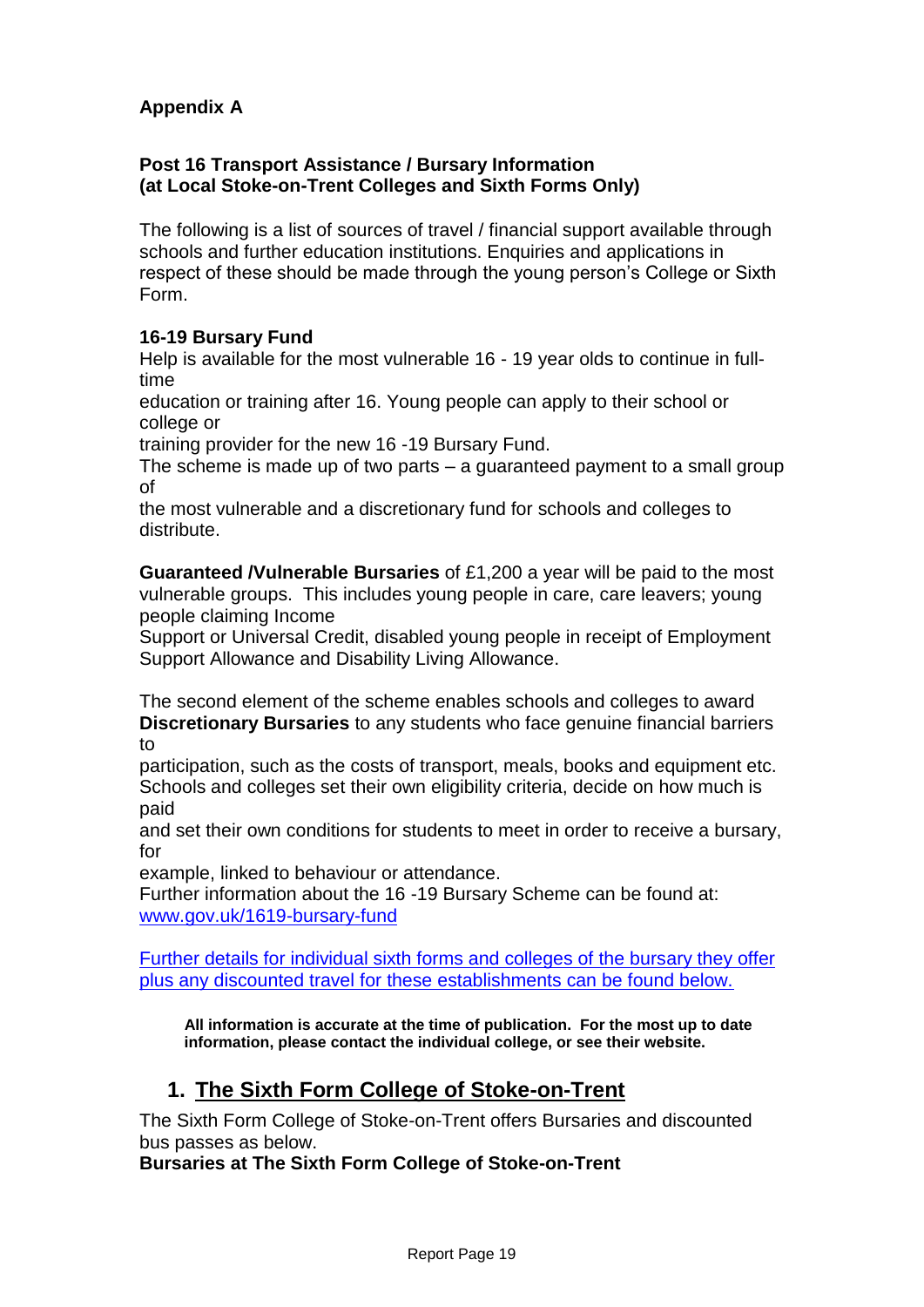## **Appendix A**

## **Post 16 Transport Assistance / Bursary Information (at Local Stoke-on-Trent Colleges and Sixth Forms Only)**

The following is a list of sources of travel / financial support available through schools and further education institutions. Enquiries and applications in respect of these should be made through the young person's College or Sixth Form.

## **16-19 Bursary Fund**

Help is available for the most vulnerable 16 - 19 year olds to continue in fulltime

education or training after 16. Young people can apply to their school or college or

training provider for the new 16 -19 Bursary Fund.

The scheme is made up of two parts – a guaranteed payment to a small group of

the most vulnerable and a discretionary fund for schools and colleges to distribute.

**Guaranteed /Vulnerable Bursaries** of £1,200 a year will be paid to the most vulnerable groups. This includes young people in care, care leavers; young people claiming Income

Support or Universal Credit, disabled young people in receipt of Employment Support Allowance and Disability Living Allowance.

The second element of the scheme enables schools and colleges to award **Discretionary Bursaries** to any students who face genuine financial barriers to

participation, such as the costs of transport, meals, books and equipment etc. Schools and colleges set their own eligibility criteria, decide on how much is paid

and set their own conditions for students to meet in order to receive a bursary, for

example, linked to behaviour or attendance.

Further information about the 16 -19 Bursary Scheme can be found at: [www.gov.uk/1619-bursary-fund](http://www.gov.uk/1619-bursary-fund)

Further details for individual sixth forms and colleges of the bursary they offer plus any discounted travel for these establishments can be found below.

 **All information is accurate at the time of publication. For the most up to date information, please contact the individual college, or see their website.**

## **1. The Sixth Form College of Stoke-on-Trent**

The Sixth Form College of Stoke-on-Trent offers Bursaries and discounted bus passes as below.

**Bursaries at The Sixth Form College of Stoke-on-Trent**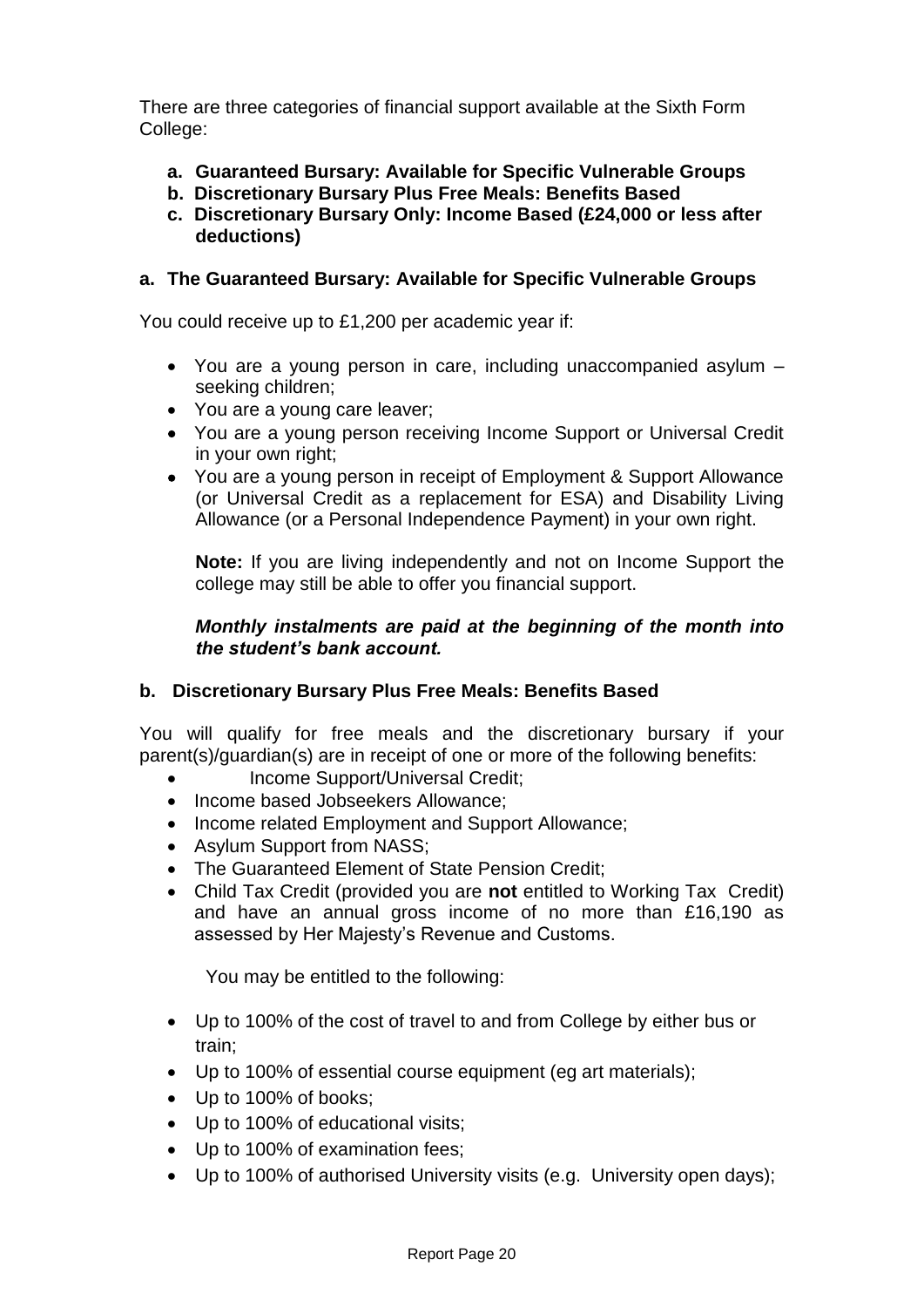There are three categories of financial support available at the Sixth Form College:

- **a. Guaranteed Bursary: Available for Specific Vulnerable Groups**
- **b. Discretionary Bursary Plus Free Meals: Benefits Based**
- **c. Discretionary Bursary Only: Income Based (£24,000 or less after deductions)**

## **a. The Guaranteed Bursary: Available for Specific Vulnerable Groups**

You could receive up to £1,200 per academic year if:

- You are a young person in care, including unaccompanied asylum seeking children;
- You are a young care leaver;
- You are a young person receiving Income Support or Universal Credit in your own right;
- You are a young person in receipt of Employment & Support Allowance (or Universal Credit as a replacement for ESA) and Disability Living Allowance (or a Personal Independence Payment) in your own right.

**Note:** If you are living independently and not on Income Support the college may still be able to offer you financial support.

### *Monthly instalments are paid at the beginning of the month into the student's bank account.*

## **b. Discretionary Bursary Plus Free Meals: Benefits Based**

You will qualify for free meals and the discretionary bursary if your parent(s)/guardian(s) are in receipt of one or more of the following benefits:

- Income Support/Universal Credit;
- Income based Jobseekers Allowance:
- Income related Employment and Support Allowance;
- Asylum Support from NASS;
- The Guaranteed Element of State Pension Credit;
- Child Tax Credit (provided you are **not** entitled to Working Tax Credit) and have an annual gross income of no more than £16,190 as assessed by Her Majesty's Revenue and Customs.

You may be entitled to the following:

- Up to 100% of the cost of travel to and from College by either bus or train;
- Up to 100% of essential course equipment (eg art materials);
- Up to 100% of books;
- Up to 100% of educational visits;
- Up to 100% of examination fees;
- Up to 100% of authorised University visits (e.g. University open days);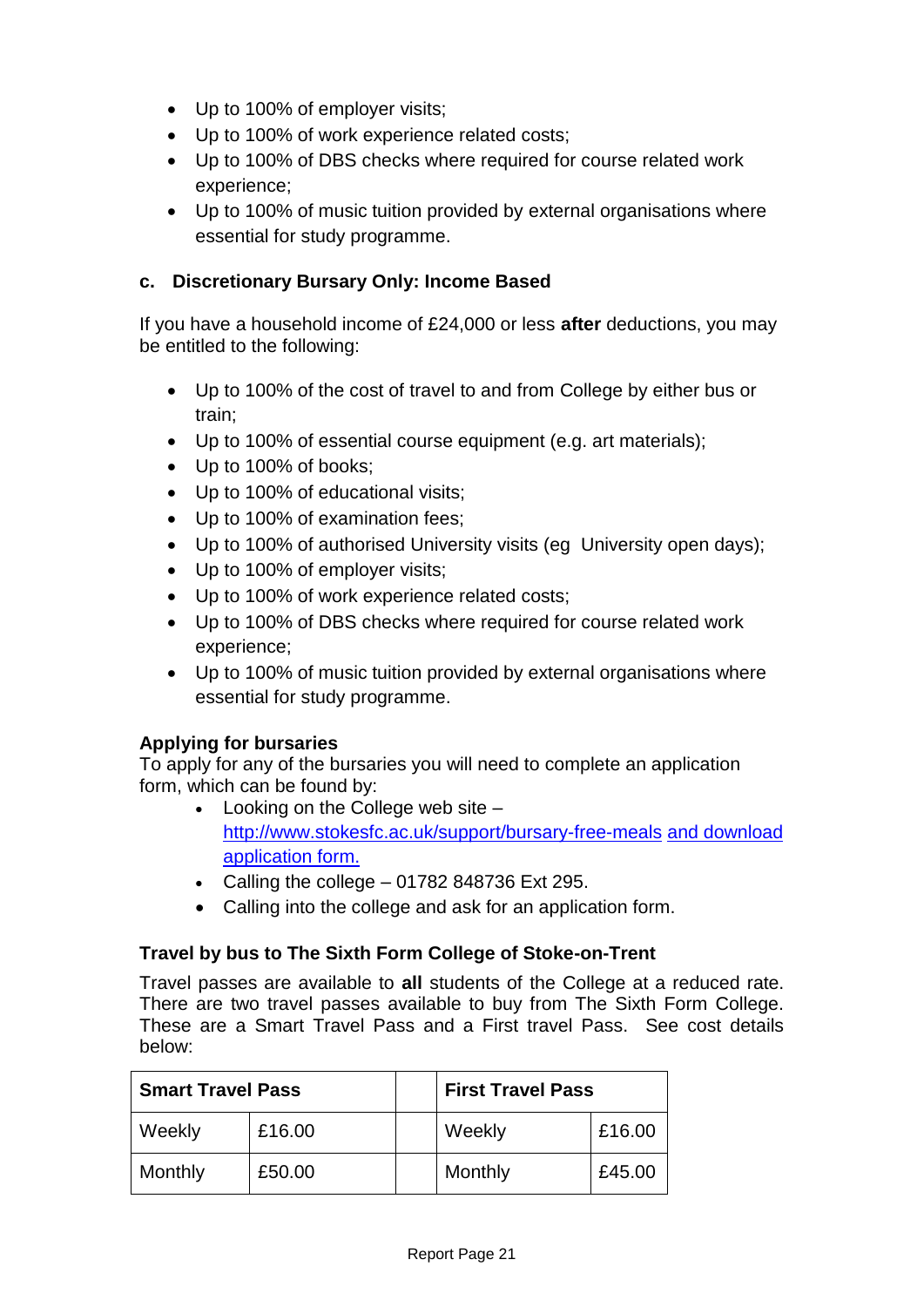- Up to 100% of employer visits;
- Up to 100% of work experience related costs;
- Up to 100% of DBS checks where required for course related work experience;
- Up to 100% of music tuition provided by external organisations where essential for study programme.

## **c. Discretionary Bursary Only: Income Based**

If you have a household income of £24,000 or less **after** deductions, you may be entitled to the following:

- Up to 100% of the cost of travel to and from College by either bus or train;
- Up to 100% of essential course equipment (e.g. art materials);
- Up to 100% of books;
- Up to 100% of educational visits;
- Up to 100% of examination fees;
- Up to 100% of authorised University visits (eg University open days);
- Up to 100% of employer visits:
- Up to 100% of work experience related costs;
- Up to 100% of DBS checks where required for course related work experience;
- Up to 100% of music tuition provided by external organisations where essential for study programme.

### **Applying for bursaries**

To apply for any of the bursaries you will need to complete an application form, which can be found by:

- Looking on the College web site <http://www.stokesfc.ac.uk/support/bursary-free-meals> and download application form.
- Calling the college  $-01782848736$  Ext 295.
- Calling into the college and ask for an application form.

### **Travel by bus to The Sixth Form College of Stoke-on-Trent**

Travel passes are available to **all** students of the College at a reduced rate. There are two travel passes available to buy from The Sixth Form College. These are a Smart Travel Pass and a First travel Pass. See cost details below:

| <b>Smart Travel Pass</b> |        | <b>First Travel Pass</b> |        |
|--------------------------|--------|--------------------------|--------|
| Weekly                   | £16.00 | Weekly                   | £16.00 |
| Monthly                  | £50.00 | Monthly                  | £45.00 |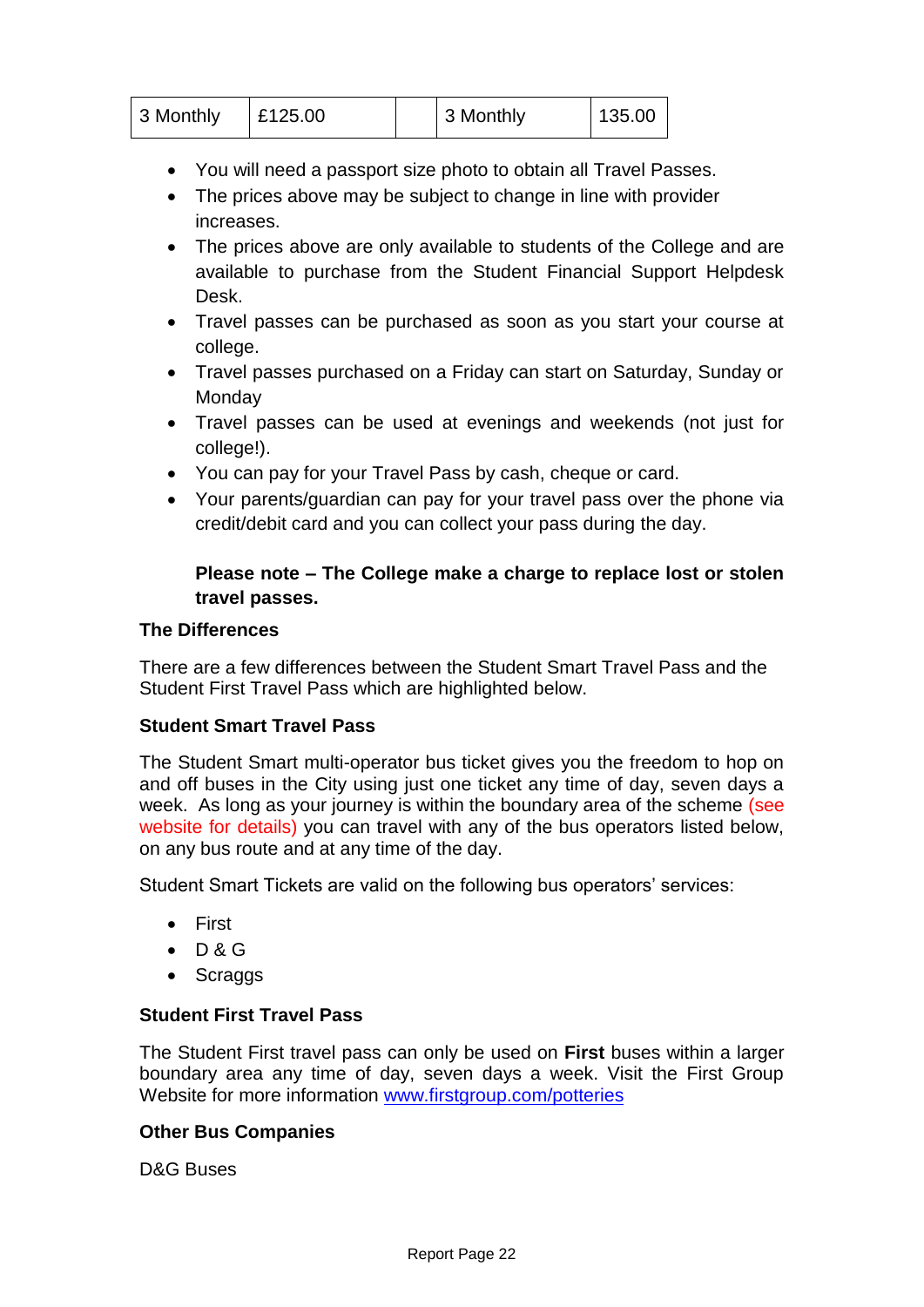| 3 Monthly | £125.00 | 3 Monthly | 135.00 |  |
|-----------|---------|-----------|--------|--|
|           |         |           |        |  |

- You will need a passport size photo to obtain all Travel Passes.
- The prices above may be subject to change in line with provider increases.
- The prices above are only available to students of the College and are available to purchase from the Student Financial Support Helpdesk Desk.
- Travel passes can be purchased as soon as you start your course at college.
- Travel passes purchased on a Friday can start on Saturday, Sunday or **Monday**
- Travel passes can be used at evenings and weekends (not just for college!).
- You can pay for your Travel Pass by cash, cheque or card.
- Your parents/guardian can pay for your travel pass over the phone via credit/debit card and you can collect your pass during the day.

## **Please note – The College make a charge to replace lost or stolen travel passes.**

## **The Differences**

There are a few differences between the Student Smart Travel Pass and the Student First Travel Pass which are highlighted below.

### **Student Smart Travel Pass**

The Student Smart multi-operator bus ticket gives you the freedom to hop on and off buses in the City using just one ticket any time of day, seven days a week. As long as your journey is within the boundary area of the scheme (see website for details) you can travel with any of the bus operators listed below, on any bus route and at any time of the day.

Student Smart Tickets are valid on the following bus operators' services:

- First
- $\bullet$  D&G
- Scraggs

## **Student First Travel Pass**

The Student First travel pass can only be used on **First** buses within a larger boundary area any time of day, seven days a week. Visit the First Group Website for more information [www.firstgroup.com/p](http://www.firstgroup.com/)otteries

## **Other Bus Companies**

D&G Buses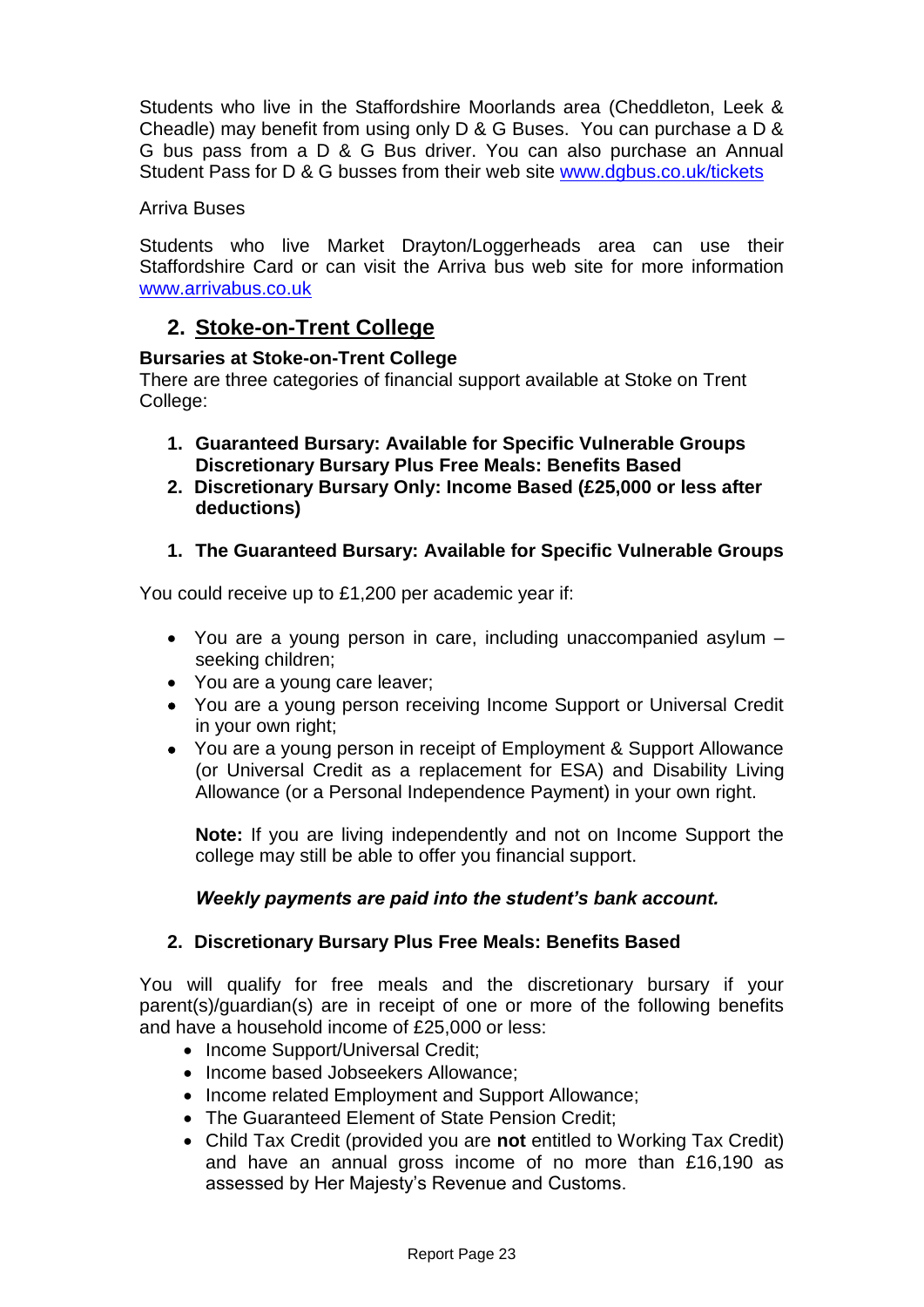Students who live in the Staffordshire Moorlands area (Cheddleton, Leek & Cheadle) may benefit from using only D & G Buses. You can purchase a D & G bus pass from a D & G Bus driver. You can also purchase an Annual Student Pass for D & G busses from their web site [www.dgbus.co.uk/tickets](http://www.dgbus.co.uk/tickets)

### Arriva Buses

Students who live Market Drayton/Loggerheads area can use their Staffordshire Card or can visit the Arriva bus web site for more information www.arrivabus.co.uk

## **2. Stoke-on-Trent College**

### **Bursaries at Stoke-on-Trent College**

There are three categories of financial support available at Stoke on Trent College:

- **1. Guaranteed Bursary: Available for Specific Vulnerable Groups Discretionary Bursary Plus Free Meals: Benefits Based**
- **2. Discretionary Bursary Only: Income Based (£25,000 or less after deductions)**
- **1. The Guaranteed Bursary: Available for Specific Vulnerable Groups**

You could receive up to £1,200 per academic year if:

- You are a young person in care, including unaccompanied asylum seeking children;
- You are a young care leaver;
- You are a young person receiving Income Support or Universal Credit in your own right;
- You are a young person in receipt of Employment & Support Allowance (or Universal Credit as a replacement for ESA) and Disability Living Allowance (or a Personal Independence Payment) in your own right.

**Note:** If you are living independently and not on Income Support the college may still be able to offer you financial support.

### *Weekly payments are paid into the student's bank account.*

### **2. Discretionary Bursary Plus Free Meals: Benefits Based**

You will qualify for free meals and the discretionary bursary if your parent(s)/guardian(s) are in receipt of one or more of the following benefits and have a household income of £25,000 or less:

- Income Support/Universal Credit;
- Income based Jobseekers Allowance:
- Income related Employment and Support Allowance;
- The Guaranteed Element of State Pension Credit;
- Child Tax Credit (provided you are **not** entitled to Working Tax Credit) and have an annual gross income of no more than £16,190 as assessed by Her Majesty's Revenue and Customs.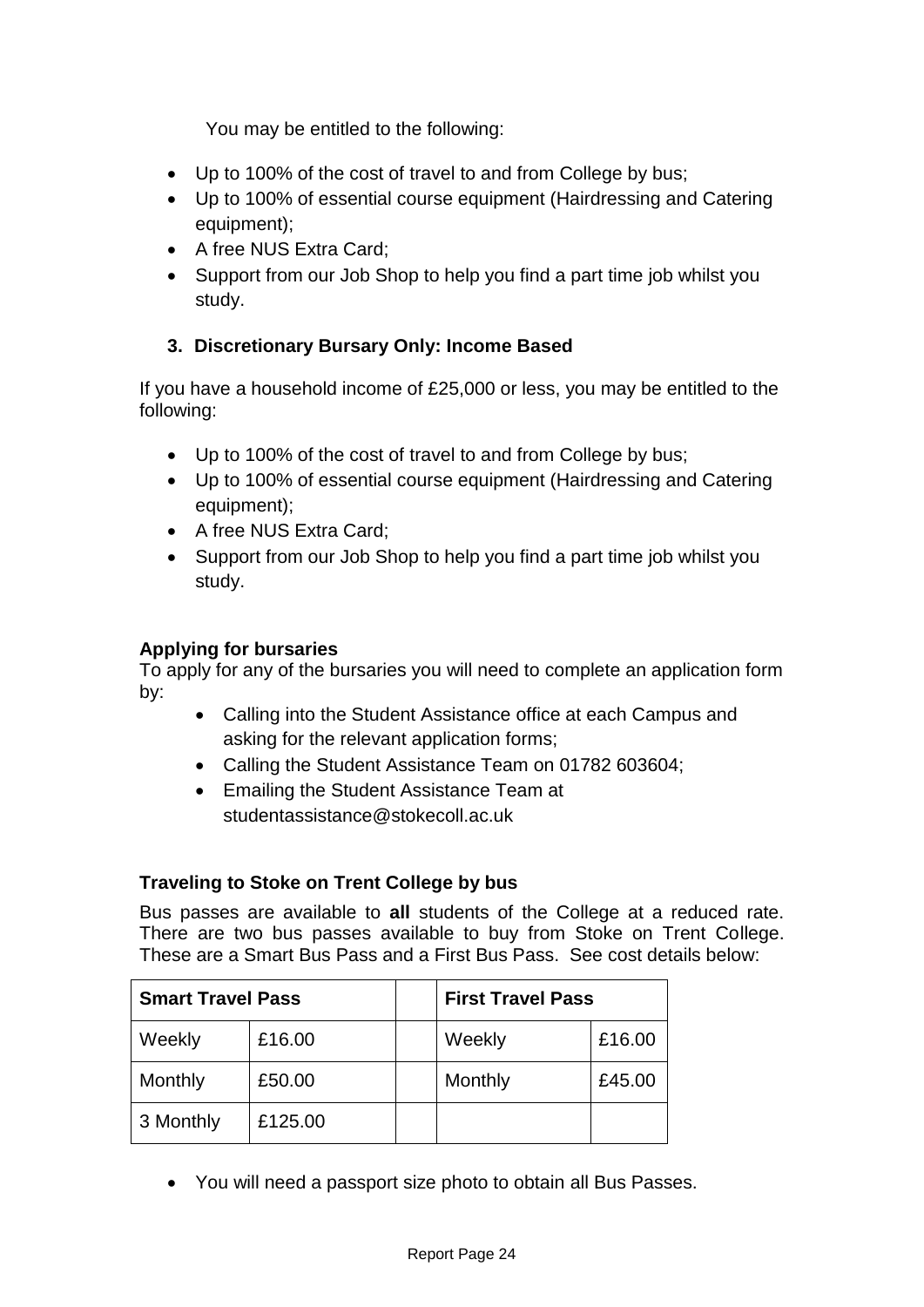You may be entitled to the following:

- Up to 100% of the cost of travel to and from College by bus;
- Up to 100% of essential course equipment (Hairdressing and Catering equipment);
- A free NUS Extra Card:
- Support from our Job Shop to help you find a part time job whilst you study.

## **3. Discretionary Bursary Only: Income Based**

If you have a household income of £25,000 or less, you may be entitled to the following:

- Up to 100% of the cost of travel to and from College by bus;
- Up to 100% of essential course equipment (Hairdressing and Catering equipment);
- A free NUS Extra Card;
- Support from our Job Shop to help you find a part time job whilst you study.

## **Applying for bursaries**

To apply for any of the bursaries you will need to complete an application form by:

- Calling into the Student Assistance office at each Campus and asking for the relevant application forms;
- Calling the Student Assistance Team on 01782 603604;
- Emailing the Student Assistance Team at studentassistance@stokecoll.ac.uk

## **Traveling to Stoke on Trent College by bus**

Bus passes are available to **all** students of the College at a reduced rate. There are two bus passes available to buy from Stoke on Trent College. These are a Smart Bus Pass and a First Bus Pass. See cost details below:

| <b>Smart Travel Pass</b> |         | <b>First Travel Pass</b> |        |
|--------------------------|---------|--------------------------|--------|
| Weekly                   | £16.00  | Weekly                   | £16.00 |
| Monthly                  | £50.00  | Monthly                  | £45.00 |
| 3 Monthly                | £125.00 |                          |        |

You will need a passport size photo to obtain all Bus Passes.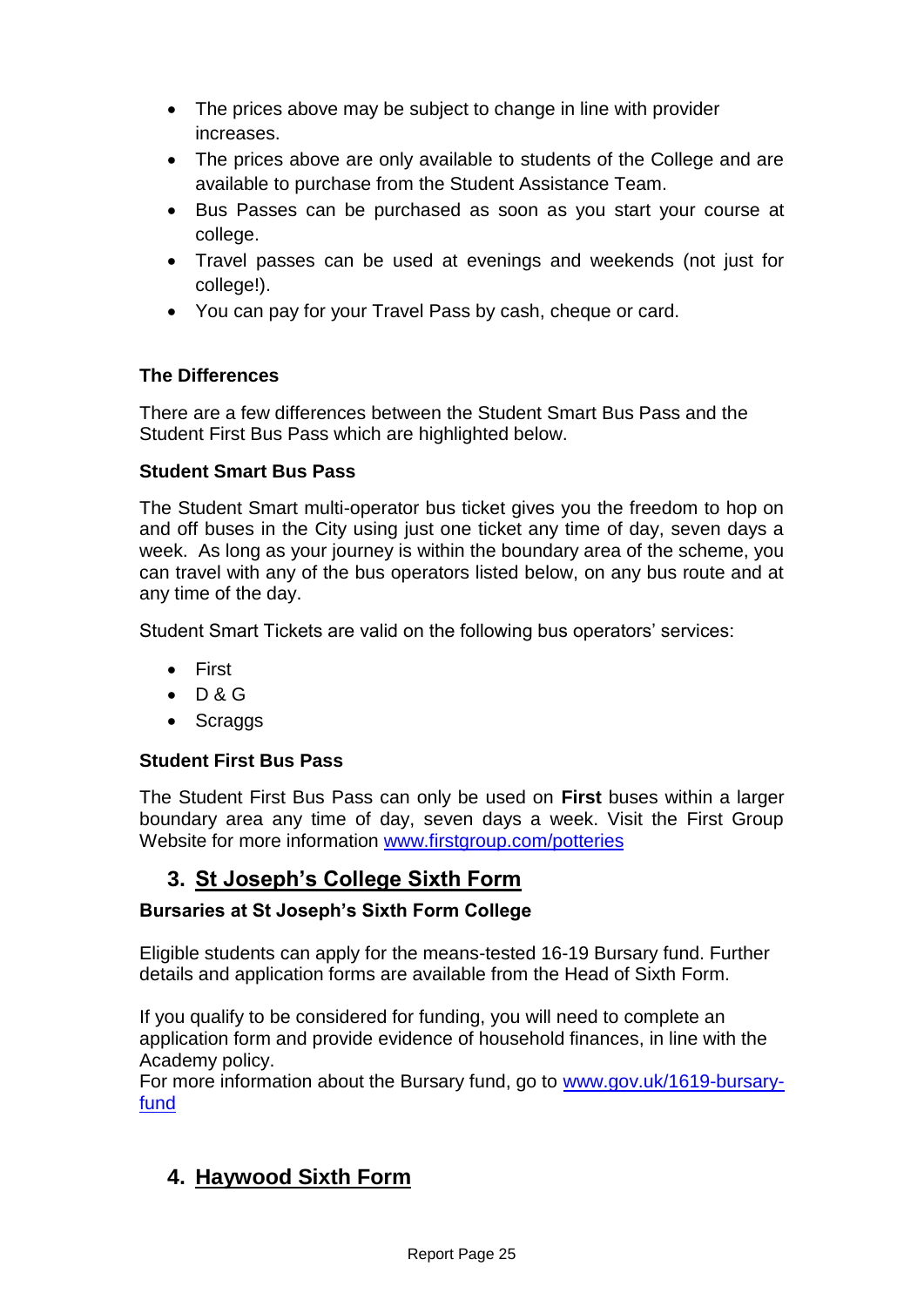- The prices above may be subject to change in line with provider increases.
- The prices above are only available to students of the College and are available to purchase from the Student Assistance Team.
- Bus Passes can be purchased as soon as you start your course at college.
- Travel passes can be used at evenings and weekends (not just for college!).
- You can pay for your Travel Pass by cash, cheque or card.

## **The Differences**

There are a few differences between the Student Smart Bus Pass and the Student First Bus Pass which are highlighted below.

## **Student Smart Bus Pass**

The Student Smart multi-operator bus ticket gives you the freedom to hop on and off buses in the City using just one ticket any time of day, seven days a week. As long as your journey is within the boundary area of the scheme, you can travel with any of the bus operators listed below, on any bus route and at any time of the day.

Student Smart Tickets are valid on the following bus operators' services:

- First
- $\bullet$  D&G
- Scraggs

## **Student First Bus Pass**

The Student First Bus Pass can only be used on **First** buses within a larger boundary area any time of day, seven days a week. Visit the First Group Website for more information [www.firstgroup.com/p](http://www.firstgroup.com/)otteries

## **3. St Joseph's College Sixth Form**

## **Bursaries at St Joseph's Sixth Form College**

Eligible students can apply for the means-tested 16-19 Bursary fund. Further details and application forms are available from the Head of Sixth Form.

If you qualify to be considered for funding, you will need to complete an application form and provide evidence of household finances, in line with the Academy policy.

For more information about the Bursary fund, go to [www.gov.uk/1619-bursary](http://www.gov.uk/1619-bursary-fund)[fund](http://www.gov.uk/1619-bursary-fund)

## **4. Haywood Sixth Form**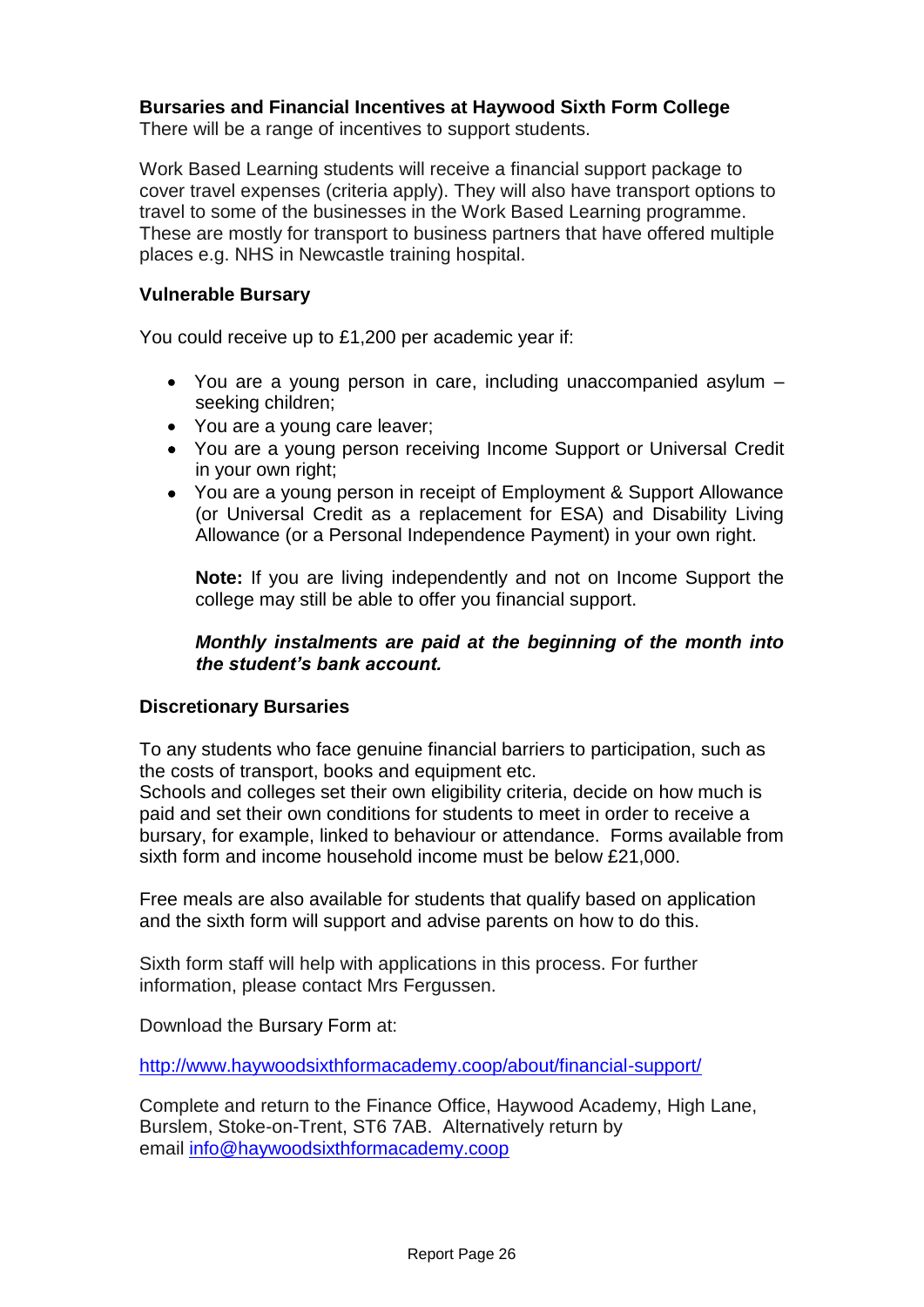## **Bursaries and Financial Incentives at Haywood Sixth Form College**

There will be a range of incentives to support students.

Work Based Learning students will receive a financial support package to cover travel expenses (criteria apply). They will also have transport options to travel to some of the businesses in the Work Based Learning programme. These are mostly for transport to business partners that have offered multiple places e.g. NHS in Newcastle training hospital.

### **Vulnerable Bursary**

You could receive up to £1,200 per academic year if:

- You are a young person in care, including unaccompanied asylum seeking children;
- You are a young care leaver;
- You are a young person receiving Income Support or Universal Credit in your own right;
- You are a young person in receipt of Employment & Support Allowance (or Universal Credit as a replacement for ESA) and Disability Living Allowance (or a Personal Independence Payment) in your own right.

**Note:** If you are living independently and not on Income Support the college may still be able to offer you financial support.

## *Monthly instalments are paid at the beginning of the month into the student's bank account.*

### **Discretionary Bursaries**

To any students who face genuine financial barriers to participation, such as the costs of transport, books and equipment etc.

Schools and colleges set their own eligibility criteria, decide on how much is paid and set their own conditions for students to meet in order to receive a bursary, for example, linked to behaviour or attendance. Forms available from sixth form and income household income must be below £21,000.

Free meals are also available for students that qualify based on application and the sixth form will support and advise parents on how to do this.

Sixth form staff will help with applications in this process. For further information, please contact Mrs Fergussen.

Download the Bursary Form at:

<http://www.haywoodsixthformacademy.coop/about/financial-support/>

Complete and return to the Finance Office, Haywood Academy, High Lane, Burslem, Stoke-on-Trent, ST6 7AB. Alternatively return by email [info@haywoodsixthformacademy.coop](mailto:info@haywoodsixthformacademy.coop)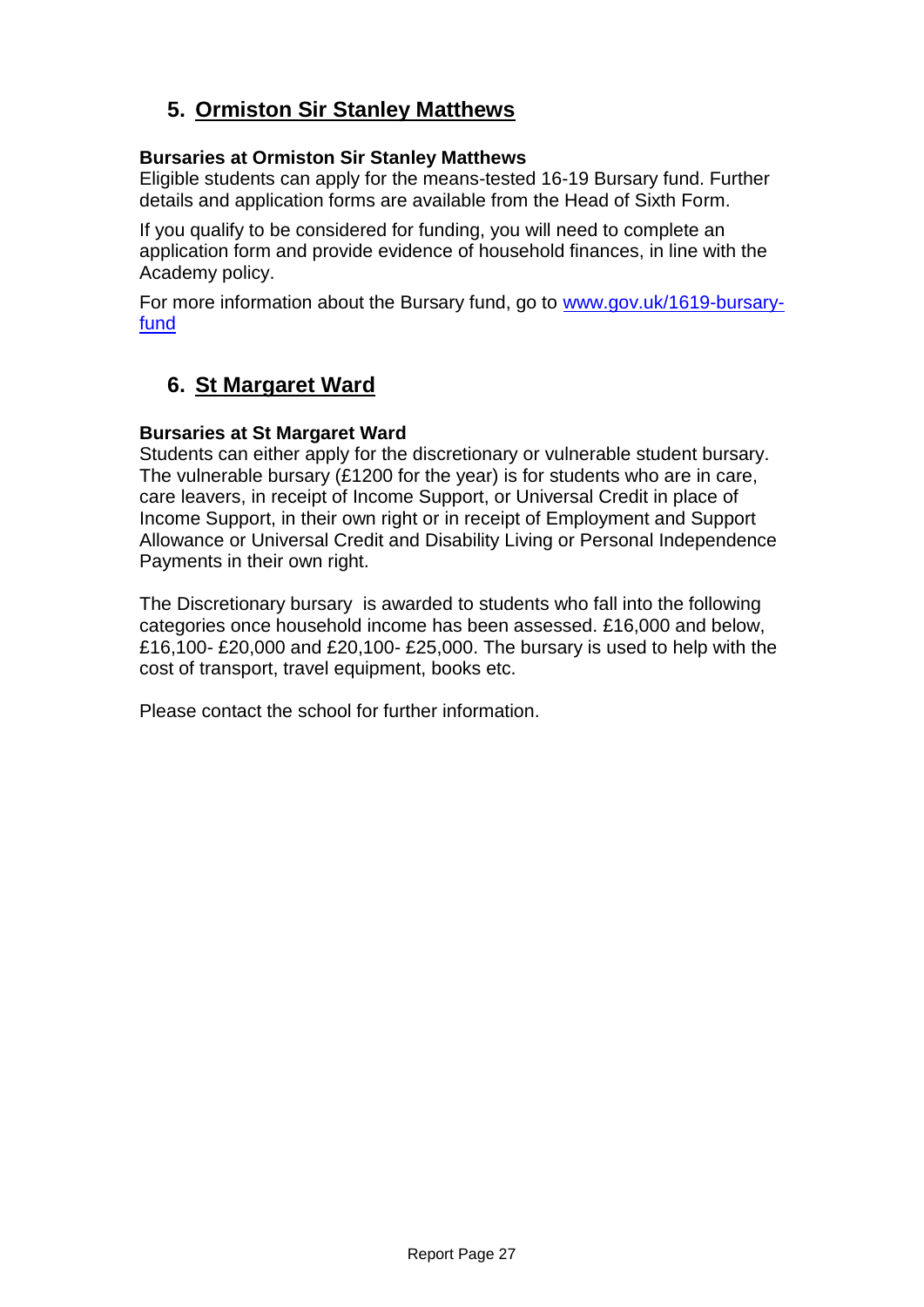## **5. Ormiston Sir Stanley Matthews**

## **Bursaries at Ormiston Sir Stanley Matthews**

Eligible students can apply for the means-tested 16-19 Bursary fund. Further details and application forms are available from the Head of Sixth Form.

If you qualify to be considered for funding, you will need to complete an application form and provide evidence of household finances, in line with the Academy policy.

For more information about the Bursary fund, go to [www.gov.uk/1619-bursary](https://www.gov.uk/1619-bursary-fund)[fund](https://www.gov.uk/1619-bursary-fund)

## **6. St Margaret Ward**

## **Bursaries at St Margaret Ward**

Students can either apply for the discretionary or vulnerable student bursary. The vulnerable bursary (£1200 for the year) is for students who are in care, care leavers, in receipt of Income Support, or Universal Credit in place of Income Support, in their own right or in receipt of Employment and Support Allowance or Universal Credit and Disability Living or Personal Independence Payments in their own right.

The Discretionary bursary is awarded to students who fall into the following categories once household income has been assessed. £16,000 and below, £16,100- £20,000 and £20,100- £25,000. The bursary is used to help with the cost of transport, travel equipment, books etc.

Please contact the school for further information.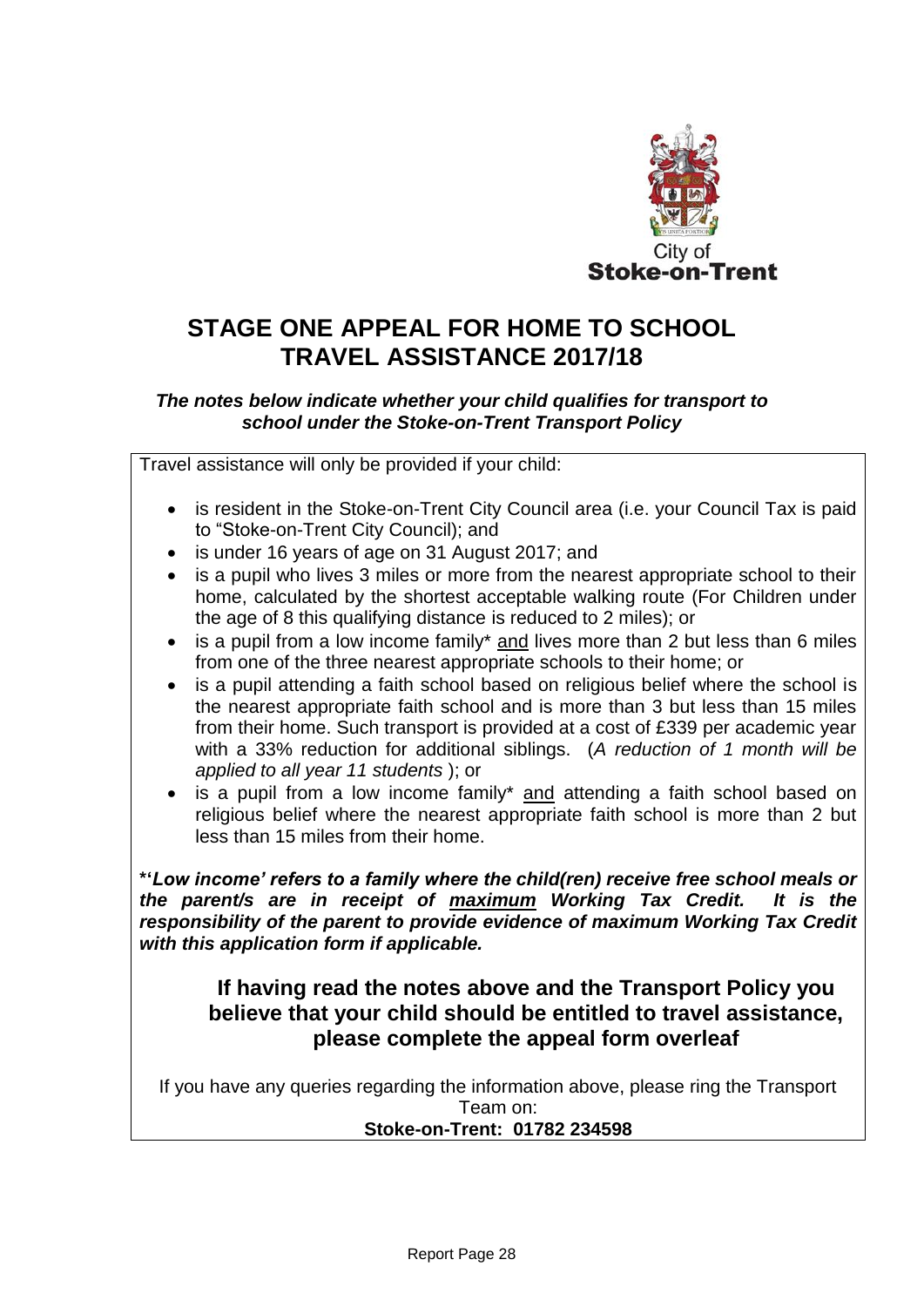

# **STAGE ONE APPEAL FOR HOME TO SCHOOL TRAVEL ASSISTANCE 2017/18**

## *The notes below indicate whether your child qualifies for transport to school under the Stoke-on-Trent Transport Policy*

Travel assistance will only be provided if your child:

- is resident in the Stoke-on-Trent City Council area (i.e. your Council Tax is paid to "Stoke-on-Trent City Council); and
- is under 16 years of age on 31 August 2017; and
- is a pupil who lives 3 miles or more from the nearest appropriate school to their home, calculated by the shortest acceptable walking route (For Children under the age of 8 this qualifying distance is reduced to 2 miles); or
- is a pupil from a low income family\* and lives more than 2 but less than 6 miles from one of the three nearest appropriate schools to their home; or
- is a pupil attending a faith school based on religious belief where the school is the nearest appropriate faith school and is more than 3 but less than 15 miles from their home. Such transport is provided at a cost of £339 per academic year with a 33% reduction for additional siblings. (*A reduction of 1 month will be applied to all year 11 students* ); or
- is a pupil from a low income family\* and attending a faith school based on religious belief where the nearest appropriate faith school is more than 2 but less than 15 miles from their home.

**\*'***Low income' refers to a family where the child(ren) receive free school meals or the parent/s are in receipt of maximum Working Tax Credit. It is the responsibility of the parent to provide evidence of maximum Working Tax Credit with this application form if applicable.*

## **If having read the notes above and the Transport Policy you believe that your child should be entitled to travel assistance, please complete the appeal form overleaf**

If you have any queries regarding the information above, please ring the Transport Team on:

### **Stoke-on-Trent: 01782 234598**